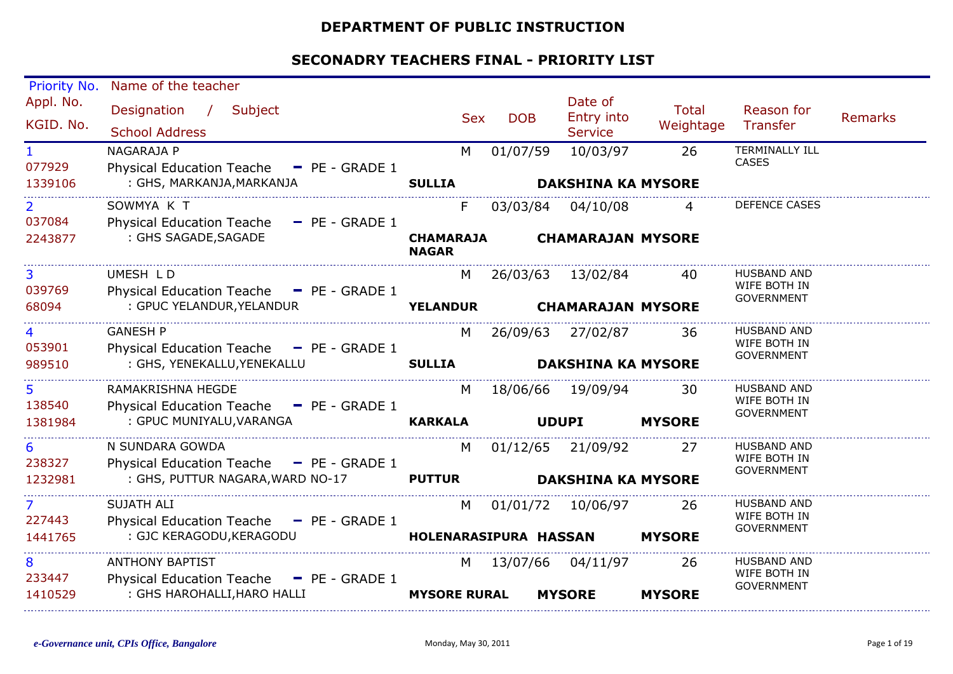#### **DEPARTMENT OF PUBLIC INSTRUCTION**

| Priority No.             | Name of the teacher                                                |                                  |            |                                         |                           |                                                         |                |
|--------------------------|--------------------------------------------------------------------|----------------------------------|------------|-----------------------------------------|---------------------------|---------------------------------------------------------|----------------|
| Appl. No.<br>KGID. No.   | Designation /<br>Subject<br><b>School Address</b>                  | <b>Sex</b>                       | <b>DOB</b> | Date of<br>Entry into<br><b>Service</b> | <b>Total</b><br>Weightage | Reason for<br>Transfer                                  | <b>Remarks</b> |
| $\mathbf{1}$<br>077929   | NAGARAJA P<br>Physical Education Teache - PE - GRADE 1             | M                                | 01/07/59   | 10/03/97                                | 26                        | <b>TERMINALLY ILL</b><br><b>CASES</b>                   |                |
| 1339106                  | : GHS, MARKANJA, MARKANJA                                          | <b>SULLIA</b>                    |            | <b>DAKSHINA KA MYSORE</b>               |                           |                                                         |                |
| $\overline{2}$<br>037084 | SOWMYA K T<br>Physical Education Teache - PE - GRADE 1             | F.                               | 03/03/84   | 04/10/08                                | $\overline{4}$            | <b>DEFENCE CASES</b>                                    |                |
| 2243877                  | : GHS SAGADE, SAGADE                                               | <b>CHAMARAJA</b><br><b>NAGAR</b> |            | <b>CHAMARAJAN MYSORE</b>                |                           |                                                         |                |
| $\overline{3}$<br>039769 | UMESH LD<br>Physical Education Teache - PE - GRADE 1               | M                                |            | 26/03/63 13/02/84                       | 40                        | <b>HUSBAND AND</b><br>WIFE BOTH IN<br><b>GOVERNMENT</b> |                |
| 68094                    | : GPUC YELANDUR, YELANDUR                                          | <b>YELANDUR</b>                  |            | <b>CHAMARAJAN MYSORE</b>                |                           |                                                         |                |
| 4<br>053901              | <b>GANESH P</b><br>Physical Education Teache - PE - GRADE 1        | M                                |            | 26/09/63 27/02/87                       | -36                       | <b>HUSBAND AND</b><br>WIFE BOTH IN                      |                |
| 989510                   | : GHS, YENEKALLU, YENEKALLU                                        | <b>SULLIA</b>                    |            | <b>DAKSHINA KA MYSORE</b>               |                           | <b>GOVERNMENT</b>                                       |                |
| 5<br>138540              | RAMAKRISHNA HEGDE<br>Physical Education Teache - PE - GRADE 1      | M                                |            | 18/06/66 19/09/94                       | 30                        | HUSBAND AND<br>WIFE BOTH IN                             |                |
| 1381984                  | : GPUC MUNIYALU, VARANGA                                           | <b>KARKALA</b>                   |            | <b>UDUPI</b>                            | <b>MYSORE</b>             | <b>GOVERNMENT</b>                                       |                |
| 6<br>238327              | N SUNDARA GOWDA<br>Physical Education Teache - PE - GRADE 1        | M                                |            | 01/12/65 21/09/92                       | 27                        | <b>HUSBAND AND</b><br>WIFE BOTH IN                      |                |
| 1232981                  | : GHS, PUTTUR NAGARA, WARD NO-17                                   | <b>PUTTUR</b>                    |            | <b>DAKSHINA KA MYSORE</b>               |                           | <b>GOVERNMENT</b>                                       |                |
| $\overline{7}$<br>227443 | <b>SUJATH ALI</b><br>Physical Education Teache - PE - GRADE 1      | M                                |            | 01/01/72 10/06/97                       | -26                       | <b>HUSBAND AND</b><br>WIFE BOTH IN                      |                |
| 1441765                  | : GJC KERAGODU, KERAGODU                                           | HOLENARASIPURA HASSAN            |            |                                         | <b>MYSORE</b>             | <b>GOVERNMENT</b>                                       |                |
| 8<br>233447              | <b>ANTHONY BAPTIST</b><br>Physical Education Teache - PE - GRADE 1 | M                                |            | 13/07/66 04/11/97                       | 26                        | HUSBAND AND<br>WIFE BOTH IN                             |                |
| 1410529                  | : GHS HAROHALLI, HARO HALLI                                        | <b>MYSORE RURAL</b>              |            | <b>MYSORE</b>                           | <b>MYSORE</b>             | <b>GOVERNMENT</b>                                       |                |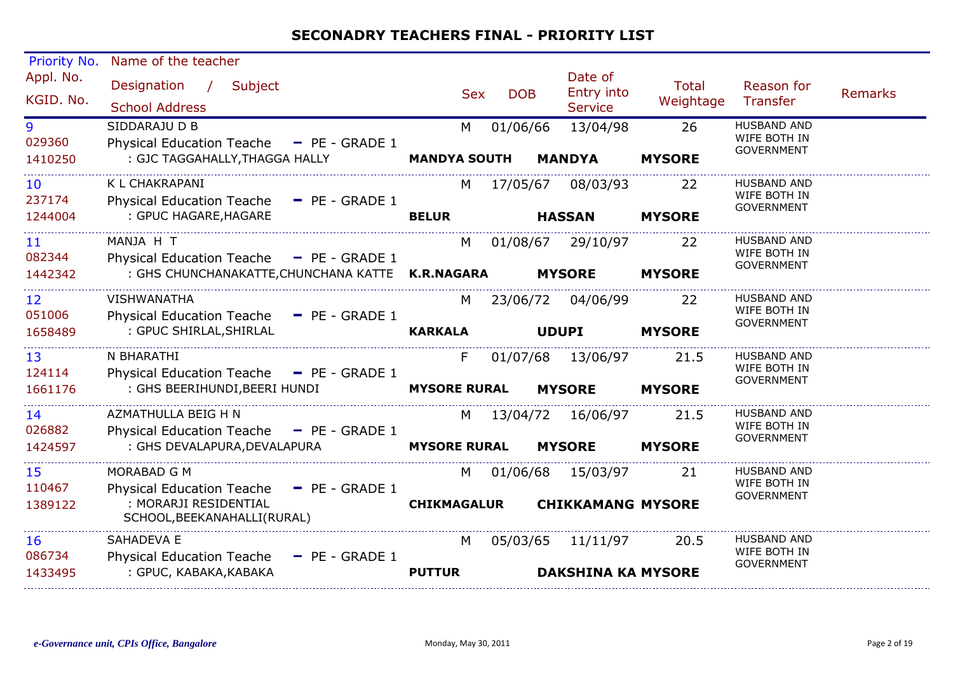| Priority No.            | Name of the teacher                                                                                                           |                           |                                                       |                           |                                                         |         |
|-------------------------|-------------------------------------------------------------------------------------------------------------------------------|---------------------------|-------------------------------------------------------|---------------------------|---------------------------------------------------------|---------|
| Appl. No.<br>KGID. No.  | Designation /<br>Subject<br><b>School Address</b>                                                                             | <b>Sex</b>                | Date of<br>Entry into<br><b>DOB</b><br><b>Service</b> | <b>Total</b><br>Weightage | Reason for<br>Transfer                                  | Remarks |
| 9<br>029360<br>1410250  | SIDDARAJU D B<br>Physical Education Teache - PE - GRADE 1<br>: GJC TAGGAHALLY, THAGGA HALLY                                   | M<br><b>MANDYA SOUTH</b>  | 13/04/98<br>01/06/66<br><b>MANDYA</b>                 | 26<br><b>MYSORE</b>       | <b>HUSBAND AND</b><br>WIFE BOTH IN<br><b>GOVERNMENT</b> |         |
| 10<br>237174<br>1244004 | K L CHAKRAPANI<br>Physical Education Teache - PE - GRADE 1<br>: GPUC HAGARE, HAGARE                                           | M<br><b>BELUR</b>         | 17/05/67<br>08/03/93<br><b>HASSAN</b>                 | 22<br><b>MYSORE</b>       | <b>HUSBAND AND</b><br>WIFE BOTH IN<br><b>GOVERNMENT</b> |         |
| 11<br>082344<br>1442342 | MANJA H T<br>Physical Education Teache - PE - GRADE 1<br>: GHS CHUNCHANAKATTE, CHUNCHANA KATTE K.R.NAGARA                     | M                         | 01/08/67 29/10/97<br><b>MYSORE</b>                    | 22<br><b>MYSORE</b>       | <b>HUSBAND AND</b><br>WIFE BOTH IN<br><b>GOVERNMENT</b> |         |
| 12<br>051006<br>1658489 | <b>VISHWANATHA</b><br>Physical Education Teache - PE - GRADE 1<br>: GPUC SHIRLAL, SHIRLAL                                     | M<br><b>KARKALA</b>       | 23/06/72 04/06/99<br><b>UDUPI</b>                     | 22<br><b>MYSORE</b>       | HUSBAND AND<br>WIFE BOTH IN<br><b>GOVERNMENT</b>        |         |
| 13<br>124114<br>1661176 | N BHARATHI<br>Physical Education Teache - PE - GRADE 1<br>: GHS BEERIHUNDI, BEERI HUNDI                                       | F.<br><b>MYSORE RURAL</b> | 01/07/68 13/06/97<br><b>MYSORE</b>                    | 21.5<br><b>MYSORE</b>     | <b>HUSBAND AND</b><br>WIFE BOTH IN<br><b>GOVERNMENT</b> |         |
| 14<br>026882<br>1424597 | AZMATHULLA BEIG H N<br>Physical Education Teache - PE - GRADE 1<br>: GHS DEVALAPURA, DEVALAPURA                               | <b>MYSORE RURAL</b>       | M 13/04/72 16/06/97<br><b>MYSORE</b>                  | 21.5<br><b>MYSORE</b>     | <b>HUSBAND AND</b><br>WIFE BOTH IN<br><b>GOVERNMENT</b> |         |
| 15<br>110467<br>1389122 | MORABAD G M<br><b>Physical Education Teache</b><br>$P = P = GRADE 1$<br>: MORARJI RESIDENTIAL<br>SCHOOL, BEEKANAHALLI (RURAL) | M<br><b>CHIKMAGALUR</b>   | 01/06/68 15/03/97<br><b>CHIKKAMANG MYSORE</b>         | 21                        | <b>HUSBAND AND</b><br>WIFE BOTH IN<br><b>GOVERNMENT</b> |         |
| 16<br>086734<br>1433495 | SAHADEVA E<br>Physical Education Teache<br>$=$ PE - GRADE 1<br>: GPUC, KABAKA, KABAKA                                         | M<br><b>PUTTUR</b>        | 05/03/65 11/11/97<br><b>DAKSHINA KA MYSORE</b>        | 20.5                      | <b>HUSBAND AND</b><br>WIFE BOTH IN<br><b>GOVERNMENT</b> |         |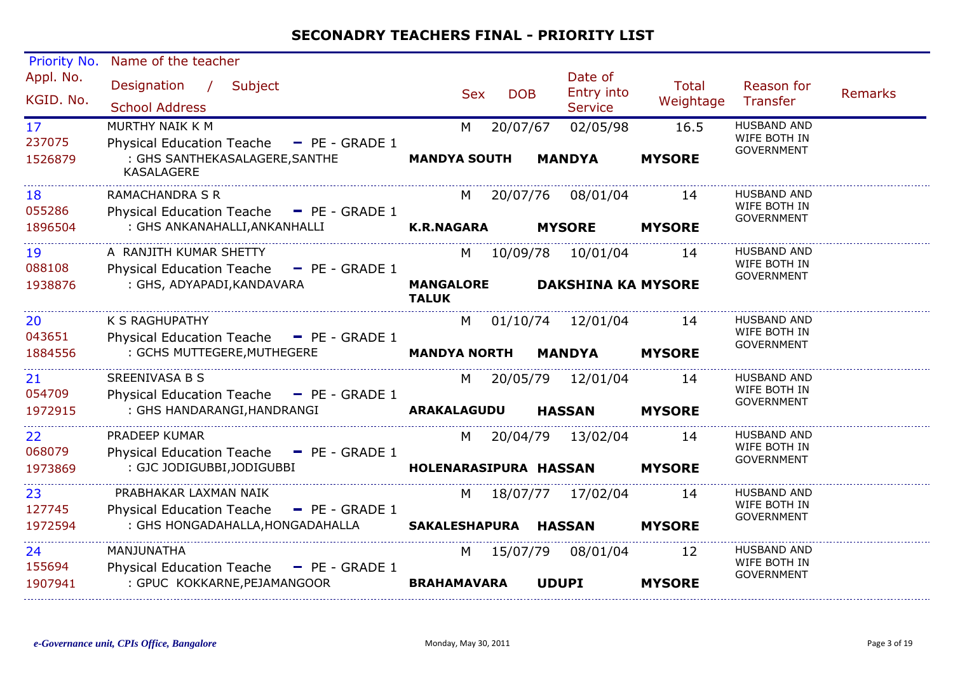| Priority No.                         | Name of the teacher                                                                                                |                                        |                                                  |                           |                                                         |  |
|--------------------------------------|--------------------------------------------------------------------------------------------------------------------|----------------------------------------|--------------------------------------------------|---------------------------|---------------------------------------------------------|--|
| Appl. No.<br>KGID. No.               | Designation /<br>Subject<br><b>School Address</b>                                                                  | <b>DOB</b><br><b>Sex</b>               | Date of<br>Entry into<br><b>Service</b>          | <b>Total</b><br>Weightage | Reason for<br><b>Remarks</b><br>Transfer                |  |
| 17 <sup>2</sup><br>237075<br>1526879 | MURTHY NAIK K M<br>Physical Education Teache - PE - GRADE 1<br>: GHS SANTHEKASALAGERE, SANTHE<br><b>KASALAGERE</b> | 20/07/67<br>M<br><b>MANDYA SOUTH</b>   | 02/05/98<br><b>MANDYA</b>                        | 16.5<br><b>MYSORE</b>     | <b>HUSBAND AND</b><br>WIFE BOTH IN<br><b>GOVERNMENT</b> |  |
| 18<br>055286<br>1896504              | <b>RAMACHANDRA S R</b><br>Physical Education Teache - PE - GRADE 1<br>: GHS ANKANAHALLI, ANKANHALLI                | 20/07/76<br><b>K.R.NAGARA</b>          | 08/01/04<br><b>MYSORE</b>                        | 14<br><b>MYSORE</b>       | <b>HUSBAND AND</b><br>WIFE BOTH IN<br><b>GOVERNMENT</b> |  |
| 19<br>088108<br>1938876              | A RANJITH KUMAR SHETTY<br>Physical Education Teache - PE - GRADE 1<br>: GHS, ADYAPADI, KANDAVARA                   | <b>MANGALORE</b><br><b>TALUK</b>       | M 10/09/78 10/01/04<br><b>DAKSHINA KA MYSORE</b> | 14                        | <b>HUSBAND AND</b><br>WIFE BOTH IN<br><b>GOVERNMENT</b> |  |
| 20<br>043651<br>1884556              | K S RAGHUPATHY<br>Physical Education Teache - PE - GRADE 1<br>: GCHS MUTTEGERE, MUTHEGERE                          | M<br><b>MANDYA NORTH</b>               | 01/10/74 12/01/04<br><b>MANDYA</b>               | 14<br><b>MYSORE</b>       | <b>HUSBAND AND</b><br>WIFE BOTH IN<br><b>GOVERNMENT</b> |  |
| 21<br>054709<br>1972915              | SREENIVASA B S<br>Physical Education Teache - PE - GRADE 1<br>: GHS HANDARANGI, HANDRANGI                          | <b>ARAKALAGUDU</b>                     | M 20/05/79 12/01/04<br><b>HASSAN</b>             | 14<br><b>MYSORE</b>       | <b>HUSBAND AND</b><br>WIFE BOTH IN<br><b>GOVERNMENT</b> |  |
| 22<br>068079<br>1973869              | <b>PRADEEP KUMAR</b><br>Physical Education Teache - PE - GRADE 1<br>: GJC JODIGUBBI, JODIGUBBI                     | 20/04/79<br>M<br>HOLENARASIPURA HASSAN | 13/02/04                                         | 14<br><b>MYSORE</b>       | <b>HUSBAND AND</b><br>WIFE BOTH IN<br><b>GOVERNMENT</b> |  |
| 23<br>127745<br>1972594              | PRABHAKAR LAXMAN NAIK<br>Physical Education Teache - PE - GRADE 1<br>: GHS HONGADAHALLA, HONGADAHALLA              | M<br>SAKALESHAPURA HASSAN              | 18/07/77 17/02/04                                | 14<br><b>MYSORE</b>       | <b>HUSBAND AND</b><br>WIFE BOTH IN<br><b>GOVERNMENT</b> |  |
| 24<br>155694<br>1907941              | MANJUNATHA<br>Physical Education Teache $-$ PE - GRADE 1<br>: GPUC KOKKARNE, PEJAMANGOOR                           | 15/07/79<br>M<br><b>BRAHAMAVARA</b>    | 08/01/04<br><b>UDUPI</b>                         | 12<br><b>MYSORE</b>       | <b>HUSBAND AND</b><br>WIFE BOTH IN<br><b>GOVERNMENT</b> |  |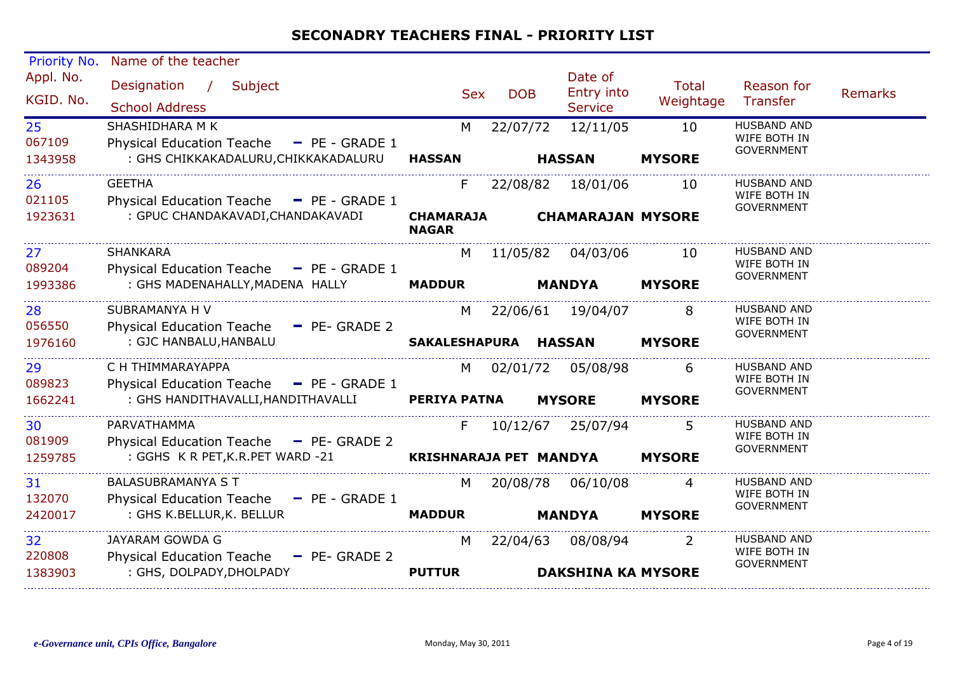| Priority No.                         | Name of the teacher                                                                                 |                                        |            |                                                |                     |                                                         |                |
|--------------------------------------|-----------------------------------------------------------------------------------------------------|----------------------------------------|------------|------------------------------------------------|---------------------|---------------------------------------------------------|----------------|
| Appl. No.<br>KGID. No.               | Designation / Subject<br><b>School Address</b>                                                      | <b>Sex</b>                             | <b>DOB</b> | Date of<br>Entry into<br><b>Service</b>        | Total<br>Weightage  | Reason for<br>Transfer                                  | <b>Remarks</b> |
| 25 <sub>2</sub><br>067109<br>1343958 | SHASHIDHARA M K<br>Physical Education Teache - PE - GRADE 1<br>: GHS CHIKKAKADALURU, CHIKKAKADALURU | M<br><b>HASSAN</b>                     | 22/07/72   | 12/11/05<br><b>HASSAN</b>                      | 10<br><b>MYSORE</b> | <b>HUSBAND AND</b><br>WIFE BOTH IN<br><b>GOVERNMENT</b> |                |
| 26<br>021105<br>1923631              | <b>GEETHA</b><br>Physical Education Teache - PE - GRADE 1<br>: GPUC CHANDAKAVADI, CHANDAKAVADI      | F.<br><b>CHAMARAJA</b><br><b>NAGAR</b> |            | 22/08/82 18/01/06<br><b>CHAMARAJAN MYSORE</b>  | 10                  | <b>HUSBAND AND</b><br>WIFE BOTH IN<br><b>GOVERNMENT</b> |                |
| 27 <sub>2</sub><br>089204<br>1993386 | SHANKARA<br>Physical Education Teache - PE - GRADE 1<br>: GHS MADENAHALLY, MADENA HALLY             | M<br><b>MADDUR</b>                     |            | 11/05/82  04/03/06<br><b>MANDYA</b>            | 10<br><b>MYSORE</b> | <b>HUSBAND AND</b><br>WIFE BOTH IN<br><b>GOVERNMENT</b> |                |
| 28<br>056550<br>1976160              | SUBRAMANYA H V<br>Physical Education Teache - PE- GRADE 2<br>: GJC HANBALU, HANBALU                 | M<br>SAKALESHAPURA HASSAN              |            | 22/06/61 19/04/07                              | 8<br><b>MYSORE</b>  | HUSBAND AND<br>WIFE BOTH IN<br><b>GOVERNMENT</b>        |                |
| 29<br>089823<br>1662241              | C H THIMMARAYAPPA<br>Physical Education Teache - PE - GRADE 1<br>: GHS HANDITHAVALLI,HANDITHAVALLI  | M<br><b>PERIYA PATNA</b>               |            | 02/01/72 05/08/98<br><b>MYSORE</b>             | 6<br><b>MYSORE</b>  | <b>HUSBAND AND</b><br>WIFE BOTH IN<br>GOVERNMENT        |                |
| 30<br>081909<br>1259785              | PARVATHAMMA<br>Physical Education Teache - PE- GRADE 2<br>: GGHS K R PET, K.R. PET WARD -21         | F.<br>KRISHNARAJA PET MANDYA           |            | 10/12/67 25/07/94                              | <b>MYSORE</b>       | <b>HUSBAND AND</b><br>WIFE BOTH IN<br><b>GOVERNMENT</b> |                |
| 31<br>132070<br>2420017              | <b>BALASUBRAMANYA S T</b><br>Physical Education Teache - PE - GRADE 1<br>: GHS K.BELLUR, K. BELLUR  | M<br><b>MADDUR</b>                     |            | 20/08/78 06/10/08<br><b>MANDYA</b>             | 4<br><b>MYSORE</b>  | HUSBAND AND<br>WIFE BOTH IN<br><b>GOVERNMENT</b>        |                |
| 32<br>220808<br>1383903              | JAYARAM GOWDA G<br>Physical Education Teache - PE- GRADE 2<br>: GHS, DOLPADY, DHOLPADY              | M<br><b>PUTTUR</b>                     |            | 22/04/63 08/08/94<br><b>DAKSHINA KA MYSORE</b> | 2                   | HUSBAND AND<br>WIFE BOTH IN<br><b>GOVERNMENT</b>        |                |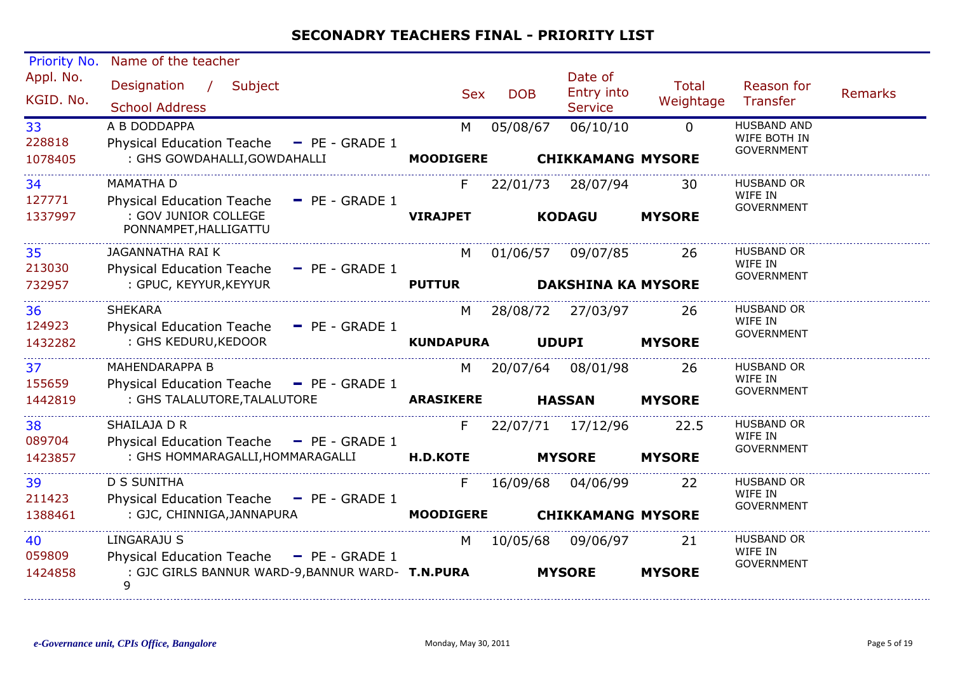| Priority No.           | Name of the teacher                                                      |                  |            |                                         |                           |                                                         |                |
|------------------------|--------------------------------------------------------------------------|------------------|------------|-----------------------------------------|---------------------------|---------------------------------------------------------|----------------|
| Appl. No.<br>KGID. No. | Designation /<br>Subject<br><b>School Address</b>                        | <b>Sex</b>       | <b>DOB</b> | Date of<br>Entry into<br><b>Service</b> | <b>Total</b><br>Weightage | Reason for<br>Transfer                                  | <b>Remarks</b> |
| 33<br>228818           | A B DODDAPPA<br>Physical Education Teache - PE - GRADE 1                 | M                | 05/08/67   | 06/10/10                                | $\Omega$                  | <b>HUSBAND AND</b><br>WIFE BOTH IN<br><b>GOVERNMENT</b> |                |
| 1078405                | : GHS GOWDAHALLI, GOWDAHALLI                                             | <b>MOODIGERE</b> |            | <b>CHIKKAMANG MYSORE</b>                |                           |                                                         |                |
| 34<br>127771           | <b>MAMATHA D</b><br><b>Physical Education Teache</b><br>$-$ PE - GRADE 1 | F                | 22/01/73   | 28/07/94                                | 30                        | <b>HUSBAND OR</b><br>WIFE IN                            |                |
| 1337997                | : GOV JUNIOR COLLEGE<br>PONNAMPET, HALLIGATTU                            | <b>VIRAJPET</b>  |            | <b>KODAGU</b>                           | <b>MYSORE</b>             | <b>GOVERNMENT</b>                                       |                |
| 35<br>213030           | JAGANNATHA RAI K<br><b>Physical Education Teache</b><br>$-$ PE - GRADE 1 | M                |            | 01/06/57 09/07/85                       | 26                        | <b>HUSBAND OR</b><br>WIFE IN                            |                |
| 732957                 | : GPUC, KEYYUR, KEYYUR                                                   | <b>PUTTUR</b>    |            | <b>DAKSHINA KA MYSORE</b>               |                           | <b>GOVERNMENT</b>                                       |                |
| 36<br>124923           | <b>SHEKARA</b><br><b>Physical Education Teache</b><br>$-$ PE - GRADE 1   | M                |            | 28/08/72 27/03/97                       | 26                        | <b>HUSBAND OR</b><br>WIFE IN                            |                |
| 1432282                | : GHS KEDURU, KEDOOR                                                     | <b>KUNDAPURA</b> |            | <b>UDUPI</b>                            | <b>MYSORE</b>             | <b>GOVERNMENT</b>                                       |                |
| 37<br>155659           | <b>MAHENDARAPPA B</b><br>Physical Education Teache - PE - GRADE 1        | M                |            | 20/07/64 08/01/98                       | 26                        | <b>HUSBAND OR</b><br>WIFE IN                            |                |
| 1442819                | : GHS TALALUTORE, TALALUTORE                                             | <b>ARASIKERE</b> |            | <b>HASSAN</b>                           | <b>MYSORE</b>             | <b>GOVERNMENT</b>                                       |                |
| 38<br>089704           | SHAILAJA D R<br>Physical Education Teache - PE - GRADE 1                 | F.               |            | 22/07/71 17/12/96                       | 22.5                      | <b>HUSBAND OR</b><br>WIFE IN                            |                |
| 1423857                | : GHS HOMMARAGALLI, HOMMARAGALLI                                         | <b>H.D.KOTE</b>  |            | <b>MYSORE</b>                           | <b>MYSORE</b>             | <b>GOVERNMENT</b>                                       |                |
| 39<br>211423           | <b>D S SUNITHA</b><br>Physical Education Teache - PE - GRADE 1           | F.               | 16/09/68   | 04/06/99                                | 22                        | <b>HUSBAND OR</b><br>WIFE IN                            |                |
| 1388461                | : GJC, CHINNIGA, JANNAPURA                                               | <b>MOODIGERE</b> |            | <b>CHIKKAMANG MYSORE</b>                |                           | <b>GOVERNMENT</b>                                       |                |
| 40<br>059809           | <b>LINGARAJU S</b><br>Physical Education Teache - PE - GRADE 1           | M                | 10/05/68   | 09/06/97                                | 21                        | <b>HUSBAND OR</b><br>WIFE IN                            |                |
| 1424858                | : GJC GIRLS BANNUR WARD-9, BANNUR WARD- T.N.PURA<br>9                    |                  |            | <b>MYSORE</b>                           | <b>MYSORE</b>             | <b>GOVERNMENT</b>                                       |                |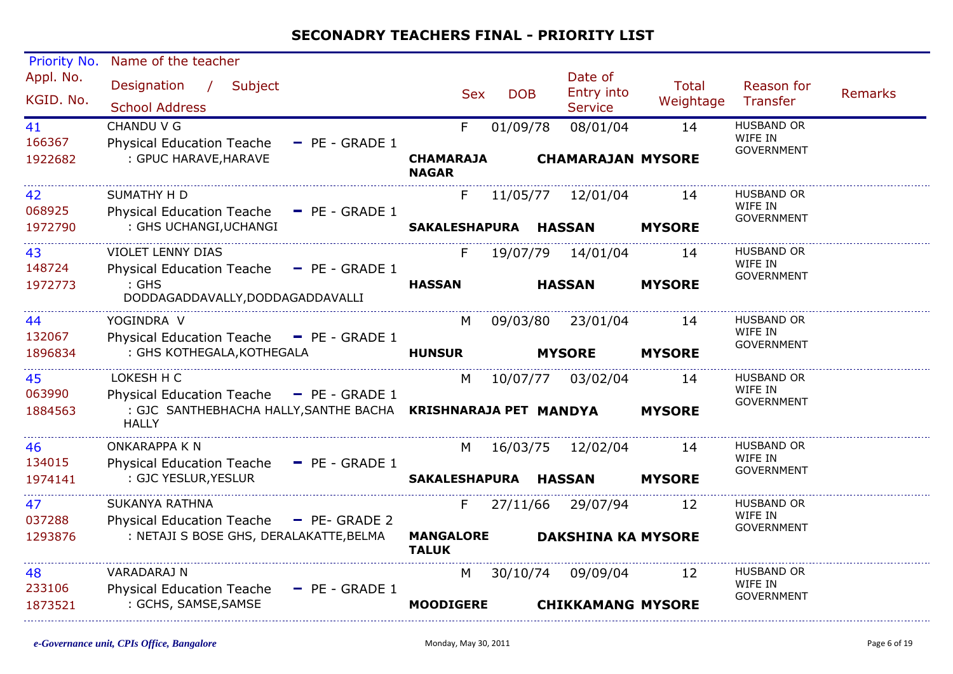| <b>Priority No.</b>     | Name of the teacher                                                                                                        |                                  |            |                                         |                    |                                                   |                |
|-------------------------|----------------------------------------------------------------------------------------------------------------------------|----------------------------------|------------|-----------------------------------------|--------------------|---------------------------------------------------|----------------|
| Appl. No.<br>KGID. No.  | Designation /<br>Subject<br><b>School Address</b>                                                                          | <b>Sex</b>                       | <b>DOB</b> | Date of<br>Entry into<br><b>Service</b> | Total<br>Weightage | Reason for<br>Transfer                            | <b>Remarks</b> |
| 41<br>166367<br>1922682 | CHANDU V G<br><b>Physical Education Teache</b><br>$-$ PE - GRADE 1<br>: GPUC HARAVE, HARAVE                                | F.<br><b>CHAMARAJA</b>           | 01/09/78   | 08/01/04<br><b>CHAMARAJAN MYSORE</b>    | 14                 | <b>HUSBAND OR</b><br>WIFE IN<br><b>GOVERNMENT</b> |                |
|                         |                                                                                                                            | <b>NAGAR</b>                     |            |                                         |                    |                                                   |                |
| 42<br>068925            | <b>SUMATHY H D</b><br>Physical Education Teache - PE - GRADE 1                                                             | F.                               |            | 11/05/77 12/01/04                       | 14                 | <b>HUSBAND OR</b><br>WIFE IN<br><b>GOVERNMENT</b> |                |
| 1972790                 | : GHS UCHANGI, UCHANGI                                                                                                     | SAKALESHAPURA HASSAN             |            |                                         | <b>MYSORE</b>      |                                                   |                |
| 43<br>148724            | <b>VIOLET LENNY DIAS</b><br>Physical Education Teache - PE - GRADE 1                                                       | F.                               |            | 19/07/79 14/01/04                       | 14                 | HUSBAND OR<br>WIFE IN<br><b>GOVERNMENT</b>        |                |
| 1972773                 | $:$ GHS<br>DODDAGADDAVALLY, DODDAGADDAVALLI                                                                                | <b>HASSAN</b>                    |            | <b>HASSAN</b>                           | <b>MYSORE</b>      |                                                   |                |
| 44<br>132067            | YOGINDRA V<br>Physical Education Teache - PE - GRADE 1                                                                     | M                                |            | 09/03/80 23/01/04                       | 14                 | <b>HUSBAND OR</b><br>WIFE IN                      |                |
| 1896834                 | : GHS KOTHEGALA, KOTHEGALA                                                                                                 | <b>HUNSUR</b>                    |            | <b>MYSORE</b>                           | <b>MYSORE</b>      | <b>GOVERNMENT</b>                                 |                |
| 45<br>063990            | LOKESH H C                                                                                                                 | M                                |            | 10/07/77 03/02/04                       | 14                 | HUSBAND OR<br>WIFE IN                             |                |
| 1884563                 | Physical Education Teache - PE - GRADE 1<br>: GJC SANTHEBHACHA HALLY, SANTHE BACHA  KRISHNARAJA PET MANDYA<br><b>HALLY</b> |                                  |            |                                         | <b>MYSORE</b>      | <b>GOVERNMENT</b>                                 |                |
| 46<br>134015            | <b>ONKARAPPA K N</b>                                                                                                       | M                                |            | 16/03/75 12/02/04                       | 14                 | <b>HUSBAND OR</b><br>WIFE IN                      |                |
| 1974141                 | Physical Education Teache - PE - GRADE 1<br>: GJC YESLUR, YESLUR                                                           | SAKALESHAPURA HASSAN             |            |                                         | <b>MYSORE</b>      | <b>GOVERNMENT</b>                                 |                |
| 47<br>037288            | <b>SUKANYA RATHNA</b>                                                                                                      | F.                               |            | 27/11/66 29/07/94                       | 12                 | <b>HUSBAND OR</b><br>WIFE IN                      |                |
| 1293876                 | Physical Education Teache - PE- GRADE 2<br>: NETAJI S BOSE GHS, DERALAKATTE, BELMA                                         | <b>MANGALORE</b><br><b>TALUK</b> |            | <b>DAKSHINA KA MYSORE</b>               |                    | <b>GOVERNMENT</b>                                 |                |
| 48<br>233106            | VARADARAJ N                                                                                                                | M                                |            | 30/10/74 09/09/04                       | 12                 | HUSBAND OR<br>WIFE IN                             |                |
| 1873521                 | Physical Education Teache - PE - GRADE 1<br>: GCHS, SAMSE, SAMSE                                                           | <b>MOODIGERE</b>                 |            | <b>CHIKKAMANG MYSORE</b>                |                    | <b>GOVERNMENT</b>                                 |                |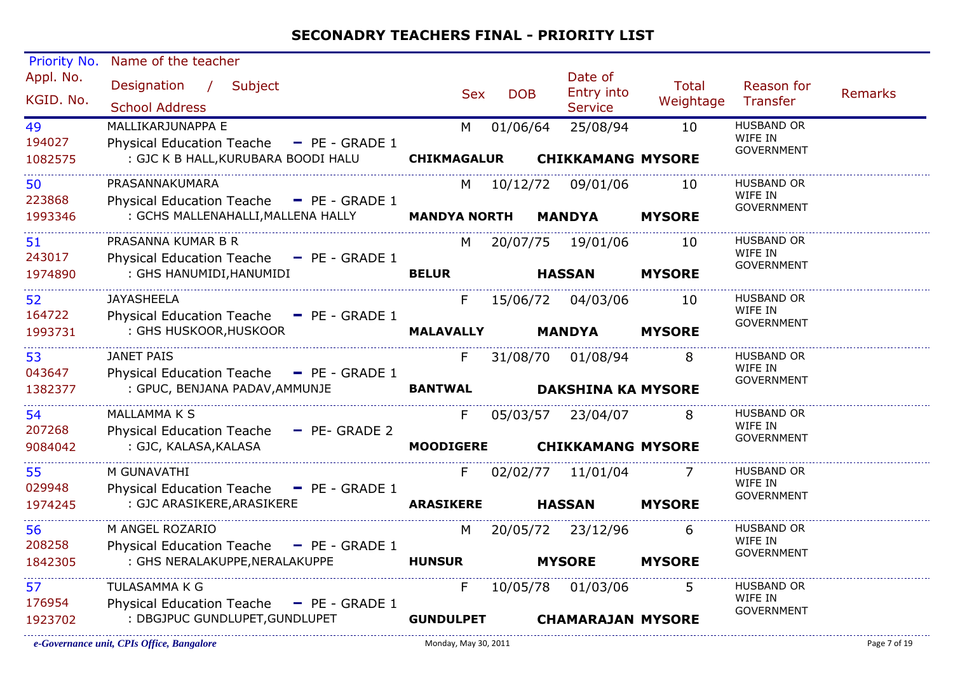| Priority No.           | Name of the teacher                                                                                       |                    |            |                                         |                           |                              |                |
|------------------------|-----------------------------------------------------------------------------------------------------------|--------------------|------------|-----------------------------------------|---------------------------|------------------------------|----------------|
| Appl. No.<br>KGID. No. | Designation / Subject<br><b>School Address</b>                                                            | <b>Sex</b>         | <b>DOB</b> | Date of<br>Entry into<br><b>Service</b> | <b>Total</b><br>Weightage | Reason for<br>Transfer       | <b>Remarks</b> |
| 49                     | MALLIKARJUNAPPA E                                                                                         | M                  | 01/06/64   | 25/08/94                                | 10                        | <b>HUSBAND OR</b>            |                |
| 194027                 | Physical Education Teache - PE - GRADE 1                                                                  |                    |            |                                         |                           | WIFE IN                      |                |
| 1082575                | : GJC K B HALL, KURUBARA BOODI HALU                                                                       | <b>CHIKMAGALUR</b> |            | <b>CHIKKAMANG MYSORE</b>                |                           | <b>GOVERNMENT</b>            |                |
|                        | PRASANNAKUMARA                                                                                            |                    |            |                                         |                           | <b>HUSBAND OR</b>            |                |
| 50<br>223868           |                                                                                                           |                    |            | M 10/12/72 09/01/06                     | 10                        | WIFE IN                      |                |
| 1993346                | Physical Education Teache - PE - GRADE 1<br>: GCHS MALLENAHALLI, MALLENA HALLY <b>MANDYA NORTH MANDYA</b> |                    |            |                                         | <b>MYSORE</b>             | <b>GOVERNMENT</b>            |                |
|                        |                                                                                                           |                    |            |                                         |                           |                              |                |
| 51                     | PRASANNA KUMAR B R                                                                                        | M                  |            | 20/07/75 19/01/06                       | 10                        | <b>HUSBAND OR</b>            |                |
| 243017                 | Physical Education Teache - PE - GRADE 1                                                                  |                    |            |                                         |                           | WIFE IN<br><b>GOVERNMENT</b> |                |
| 1974890                | : GHS HANUMIDI, HANUMIDI                                                                                  | <b>BELUR</b>       |            | <b>HASSAN</b>                           | <b>MYSORE</b>             |                              |                |
| 52                     | <b>JAYASHEELA</b>                                                                                         | F                  |            | 15/06/72 04/03/06                       | 10                        | <b>HUSBAND OR</b>            |                |
| 164722                 | Physical Education Teache - PE - GRADE 1                                                                  |                    |            |                                         |                           | WIFE IN                      |                |
| 1993731                | : GHS HUSKOOR, HUSKOOR                                                                                    | <b>MALAVALLY</b>   |            | <b>MANDYA</b>                           | <b>MYSORE</b>             | <b>GOVERNMENT</b>            |                |
|                        |                                                                                                           |                    |            |                                         |                           |                              |                |
| 53                     | <b>JANET PAIS</b>                                                                                         | F.                 |            | 31/08/70 01/08/94                       | 8                         | <b>HUSBAND OR</b>            |                |
| 043647                 | Physical Education Teache - PE - GRADE 1                                                                  |                    |            |                                         |                           | WIFE IN<br><b>GOVERNMENT</b> |                |
| 1382377                | : GPUC, BENJANA PADAV, AMMUNJE                                                                            | <b>BANTWAL</b>     |            | <b>DAKSHINA KA MYSORE</b>               |                           |                              |                |
| 54                     | MALLAMMA K S                                                                                              | F                  |            | 05/03/57 23/04/07                       | 8                         | HUSBAND OR                   |                |
| 207268                 | Physical Education Teache - PE- GRADE 2                                                                   |                    |            |                                         |                           | WIFE IN                      |                |
| 9084042                | : GJC, KALASA,KALASA                                                                                      | <b>MOODIGERE</b>   |            | <b>CHIKKAMANG MYSORE</b>                |                           | <b>GOVERNMENT</b>            |                |
|                        |                                                                                                           |                    |            |                                         |                           |                              |                |
| 55                     | M GUNAVATHI                                                                                               | F.                 |            | 02/02/77 11/01/04                       | <sup>7</sup>              | <b>HUSBAND OR</b><br>WIFE IN |                |
| 029948                 | Physical Education Teache - PE - GRADE 1                                                                  |                    |            |                                         |                           | <b>GOVERNMENT</b>            |                |
| 1974245                | : GJC ARASIKERE, ARASIKERE                                                                                | <b>ARASIKERE</b>   |            | <b>HASSAN</b>                           | <b>MYSORE</b>             |                              |                |
| 56                     | M ANGEL ROZARIO                                                                                           | M                  |            | 20/05/72 23/12/96                       | 6                         | HUSBAND OR                   |                |
| 208258                 | Physical Education Teache - PE - GRADE 1                                                                  |                    |            |                                         |                           | WIFE IN                      |                |
| 1842305                | : GHS NERALAKUPPE, NERALAKUPPE                                                                            | <b>HUNSUR</b>      |            | <b>MYSORE</b>                           | <b>MYSORE</b>             | <b>GOVERNMENT</b>            |                |
|                        |                                                                                                           |                    |            |                                         |                           | <b>HUSBAND OR</b>            |                |
| 57<br>176954           | TULASAMMA K G                                                                                             | F                  |            | 10/05/78 01/03/06                       | 5                         | WIFE IN                      |                |
|                        | Physical Education Teache - PE - GRADE 1<br>: DBGJPUC GUNDLUPET, GUNDLUPET                                |                    |            |                                         |                           | <b>GOVERNMENT</b>            |                |
| 1923702                |                                                                                                           | <b>GUNDULPET</b>   |            | <b>CHAMARAJAN MYSORE</b>                |                           |                              |                |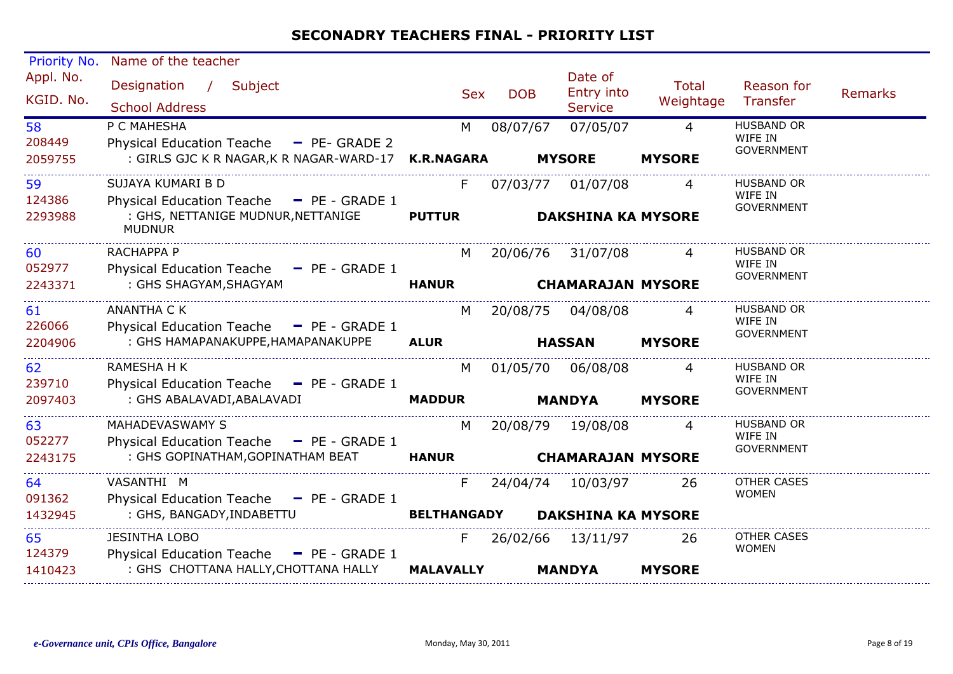| Priority No.            | Name of the teacher                                                                                                  |                     |            |                                               |                                 |                                                   |         |
|-------------------------|----------------------------------------------------------------------------------------------------------------------|---------------------|------------|-----------------------------------------------|---------------------------------|---------------------------------------------------|---------|
| Appl. No.<br>KGID. No.  | Designation / Subject<br><b>School Address</b>                                                                       | <b>Sex</b>          | <b>DOB</b> | Date of<br>Entry into<br><b>Service</b>       | <b>Total</b><br>Weightage       | Reason for<br>Transfer                            | Remarks |
| 58<br>208449<br>2059755 | P C MAHESHA<br>Physical Education Teache - PE- GRADE 2<br>: GIRLS GJC K R NAGAR, K R NAGAR-WARD-17 K.R.NAGARA        | M                   | 08/07/67   | 07/05/07<br><b>MYSORE</b>                     | $\overline{4}$<br><b>MYSORE</b> | <b>HUSBAND OR</b><br>WIFE IN<br><b>GOVERNMENT</b> |         |
|                         |                                                                                                                      |                     |            |                                               |                                 |                                                   |         |
| 59<br>124386<br>2293988 | SUJAYA KUMARI B D<br>Physical Education Teache - PE - GRADE 1<br>: GHS, NETTANIGE MUDNUR, NETTANIGE<br><b>MUDNUR</b> | F.<br><b>PUTTUR</b> | 07/03/77   | 01/07/08<br><b>DAKSHINA KA MYSORE</b>         | 4                               | <b>HUSBAND OR</b><br>WIFE IN<br><b>GOVERNMENT</b> |         |
| 60<br>052977            | RACHAPPA P<br>Physical Education Teache - PE - GRADE 1                                                               | M                   |            | 20/06/76 31/07/08                             | 4                               | <b>HUSBAND OR</b><br>WIFE IN                      |         |
| 2243371                 | : GHS SHAGYAM, SHAGYAM                                                                                               | <b>HANUR</b>        |            | <b>CHAMARAJAN MYSORE</b>                      |                                 | <b>GOVERNMENT</b>                                 |         |
| 61<br>226066            | <b>ANANTHA C K</b><br>Physical Education Teache - PE - GRADE 1                                                       | M                   | 20/08/75   | 04/08/08                                      | 4                               | <b>HUSBAND OR</b><br>WIFE IN<br><b>GOVERNMENT</b> |         |
| 2204906                 | : GHS HAMAPANAKUPPE, HAMAPANAKUPPE                                                                                   | <b>ALUR</b>         |            | <b>HASSAN</b>                                 | <b>MYSORE</b>                   |                                                   |         |
| 62<br>239710            | RAMESHA H K<br>Physical Education Teache - PE - GRADE 1                                                              | M                   |            | 01/05/70 06/08/08                             | 4                               | HUSBAND OR<br>WIFE IN<br><b>GOVERNMENT</b>        |         |
| 2097403                 | : GHS ABALAVADI, ABALAVADI                                                                                           | <b>MADDUR</b>       |            | <b>MANDYA</b>                                 | <b>MYSORE</b>                   |                                                   |         |
| 63<br>052277<br>2243175 | MAHADEVASWAMY S<br>Physical Education Teache - PE - GRADE 1<br>: GHS GOPINATHAM, GOPINATHAM BEAT                     | M<br><b>HANUR</b>   |            | 20/08/79 19/08/08<br><b>CHAMARAJAN MYSORE</b> | 4                               | <b>HUSBAND OR</b><br>WIFE IN<br><b>GOVERNMENT</b> |         |
| 64                      | VASANTHI M                                                                                                           | F.                  |            | 24/04/74 10/03/97                             | -26                             | OTHER CASES                                       |         |
| 091362<br>1432945       | Physical Education Teache - PE - GRADE 1<br>: GHS, BANGADY, INDABETTU                                                | <b>BELTHANGADY</b>  |            | <b>DAKSHINA KA MYSORE</b>                     |                                 | <b>WOMEN</b>                                      |         |
| 65<br>124379            | <b>JESINTHA LOBO</b><br>Physical Education Teache - PE - GRADE 1                                                     | F.                  |            | 26/02/66 13/11/97                             | 26                              | <b>OTHER CASES</b><br><b>WOMEN</b>                |         |
| 1410423                 | : GHS CHOTTANA HALLY, CHOTTANA HALLY                                                                                 | <b>MALAVALLY</b>    |            | <b>MANDYA</b>                                 | <b>MYSORE</b>                   |                                                   |         |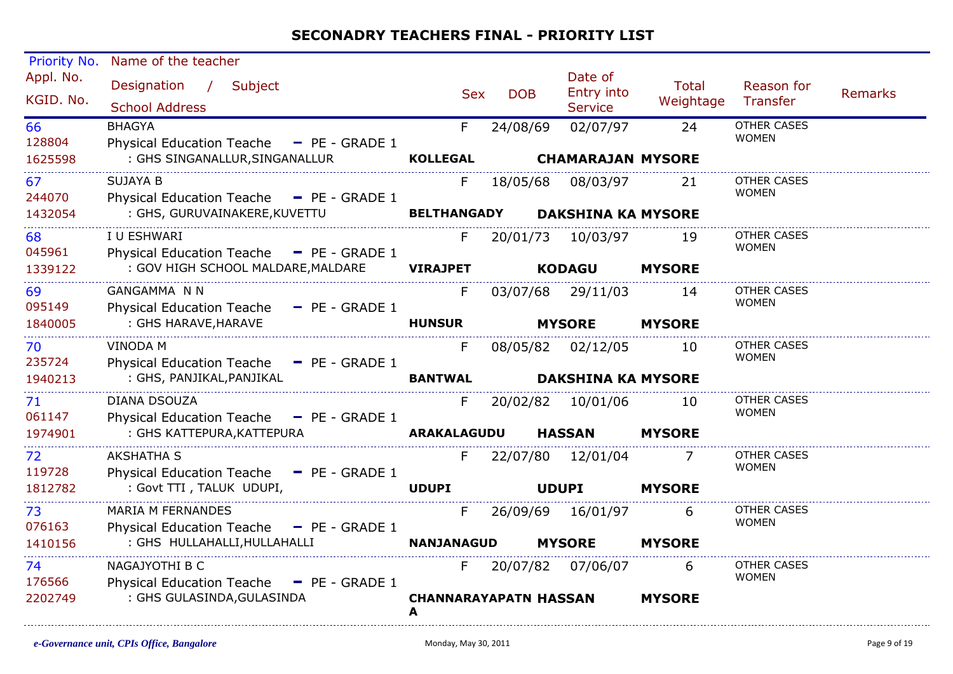| Priority No.           | Name of the teacher                                                    |                                   |            |                                         |                    |                                    |                |
|------------------------|------------------------------------------------------------------------|-----------------------------------|------------|-----------------------------------------|--------------------|------------------------------------|----------------|
| Appl. No.<br>KGID. No. | Designation /<br>Subject<br><b>School Address</b>                      | <b>Sex</b>                        | <b>DOB</b> | Date of<br>Entry into<br><b>Service</b> | Total<br>Weightage | Reason for<br>Transfer             | <b>Remarks</b> |
| 66<br>128804           | <b>BHAGYA</b><br>Physical Education Teache - PE - GRADE 1              | F.                                | 24/08/69   | 02/07/97                                | 24                 | <b>OTHER CASES</b><br><b>WOMEN</b> |                |
| 1625598                | : GHS SINGANALLUR, SINGANALLUR                                         | <b>KOLLEGAL</b>                   |            | <b>CHAMARAJAN MYSORE</b>                |                    |                                    |                |
| 67<br>244070           | <b>SUJAYA B</b><br>Physical Education Teache - PE - GRADE 1            | F.                                | 18/05/68   | 08/03/97                                | 21                 | OTHER CASES<br><b>WOMEN</b>        |                |
| 1432054                | : GHS, GURUVAINAKERE, KUVETTU                                          | <b>BELTHANGADY</b>                |            | <b>DAKSHINA KA MYSORE</b>               |                    |                                    |                |
| 68<br>045961           | I U ESHWARI<br>Physical Education Teache - PE - GRADE 1                | F.                                |            | 20/01/73 10/03/97                       | 19                 | <b>OTHER CASES</b><br><b>WOMEN</b> |                |
| 1339122                | : GOV HIGH SCHOOL MALDARE, MALDARE                                     | <b>VIRAJPET</b>                   |            | <b>KODAGU</b>                           | <b>MYSORE</b>      |                                    |                |
| 69<br>095149           | <b>GANGAMMA N N</b><br>Physical Education Teache - PE - GRADE 1        | F                                 |            | 03/07/68 29/11/03                       | 14                 | <b>OTHER CASES</b><br><b>WOMEN</b> |                |
| 1840005                | : GHS HARAVE, HARAVE                                                   | <b>HUNSUR</b>                     |            | <b>MYSORE</b>                           | <b>MYSORE</b>      |                                    |                |
| 70<br>235724           | <b>VINODA M</b><br>Physical Education Teache - PE - GRADE 1            | F                                 |            | 08/05/82 02/12/05                       | 10                 | <b>OTHER CASES</b><br><b>WOMEN</b> |                |
| 1940213                | : GHS, PANJIKAL, PANJIKAL                                              | <b>BANTWAL</b>                    |            | <b>DAKSHINA KA MYSORE</b>               |                    |                                    |                |
| 71<br>061147           | DIANA DSOUZA<br>Physical Education Teache - PE - GRADE 1               | F.                                |            | 20/02/82 10/01/06                       | 10                 | <b>OTHER CASES</b><br><b>WOMEN</b> |                |
| 1974901                | : GHS KATTEPURA, KATTEPURA                                             | ARAKALAGUDU                       |            | <b>HASSAN</b>                           | <b>MYSORE</b>      |                                    |                |
| 72<br>119728           | <b>AKSHATHA S</b><br>Physical Education Teache - PE - GRADE 1          | F                                 |            | 22/07/80 12/01/04                       |                    | <b>OTHER CASES</b><br><b>WOMEN</b> |                |
| 1812782                | : Govt TTI, TALUK UDUPI,                                               | <b>UDUPI</b>                      |            | <b>UDUPI</b>                            | <b>MYSORE</b>      |                                    |                |
| 73<br>076163           | <b>MARIA M FERNANDES</b><br>Physical Education Teache - PE - GRADE 1   | F.                                |            | 26/09/69 16/01/97                       | 6                  | <b>OTHER CASES</b><br><b>WOMEN</b> |                |
| 1410156                | : GHS HULLAHALLI, HULLAHALLI                                           | <b>NANJANAGUD</b>                 |            | <b>MYSORE</b>                           | <b>MYSORE</b>      |                                    |                |
| 74<br>176566           | NAGAJYOTHI B C<br><b>Physical Education Teache</b><br>$-$ PE - GRADE 1 | F.                                |            | 20/07/82 07/06/07                       | 6                  | <b>OTHER CASES</b><br><b>WOMEN</b> |                |
| 2202749                | : GHS GULASINDA, GULASINDA                                             | <b>CHANNARAYAPATN HASSAN</b><br>A |            |                                         | <b>MYSORE</b>      |                                    |                |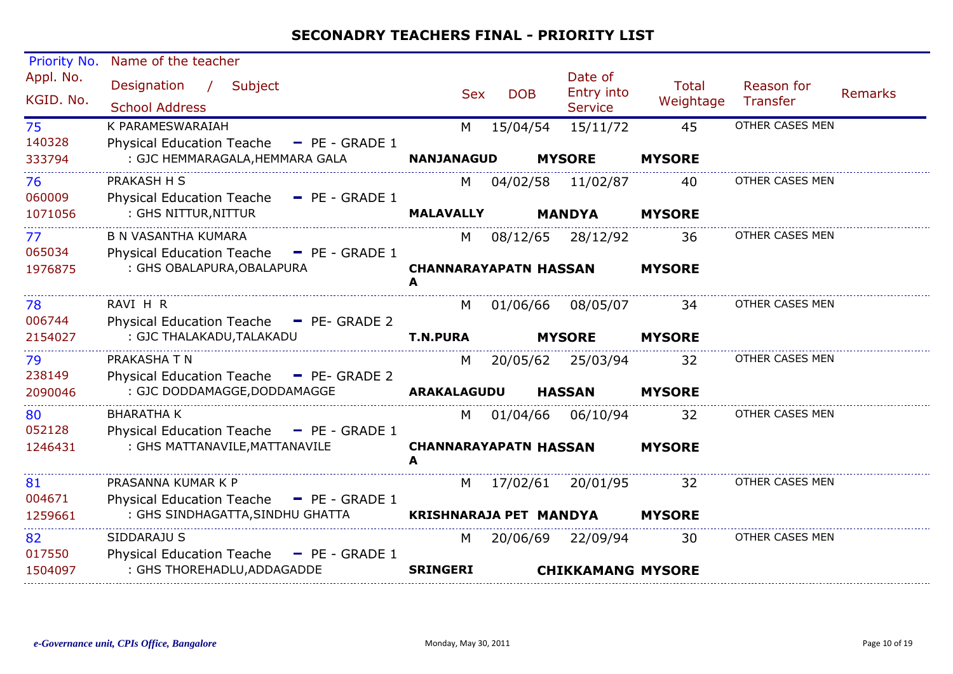| Priority No.           | Name of the teacher                                                                     |                               |            |                                         |                           |                               |                |
|------------------------|-----------------------------------------------------------------------------------------|-------------------------------|------------|-----------------------------------------|---------------------------|-------------------------------|----------------|
| Appl. No.<br>KGID. No. | Designation<br>$\frac{1}{2}$<br>Subject<br><b>School Address</b>                        | <b>Sex</b>                    | <b>DOB</b> | Date of<br>Entry into<br><b>Service</b> | <b>Total</b><br>Weightage | Reason for<br><b>Transfer</b> | <b>Remarks</b> |
| 75                     | K PARAMESWARAIAH                                                                        | M                             | 15/04/54   | 15/11/72                                | 45                        | OTHER CASES MEN               |                |
| 140328<br>333794       | <b>Physical Education Teache</b><br>$-$ PE - GRADE 1<br>: GJC HEMMARAGALA, HEMMARA GALA | <b>NANJANAGUD</b>             |            | <b>MYSORE</b>                           | <b>MYSORE</b>             |                               |                |
| 76                     | PRAKASH H S                                                                             | M                             | 04/02/58   | 11/02/87                                | 40                        | OTHER CASES MEN               |                |
| 060009<br>1071056      | <b>Physical Education Teache</b><br>$P = PE - GRADE 1$<br>: GHS NITTUR, NITTUR          | <b>MALAVALLY</b>              |            | <b>MANDYA</b>                           | <b>MYSORE</b>             |                               |                |
| 77                     | <b>B N VASANTHA KUMARA</b>                                                              | M                             | 08/12/65   | 28/12/92                                | 36                        | OTHER CASES MEN               |                |
| 065034<br>1976875      | Physical Education Teache - PE - GRADE 1<br>: GHS OBALAPURA, OBALAPURA                  | <b>CHANNARAYAPATN HASSAN</b>  |            |                                         | <b>MYSORE</b>             |                               |                |
|                        |                                                                                         | A                             |            |                                         |                           |                               |                |
| 78                     | RAVI H R                                                                                | M                             | 01/06/66   | 08/05/07                                | 34                        | OTHER CASES MEN               |                |
| 006744<br>2154027      | Physical Education Teache - PE- GRADE 2<br>: GJC THALAKADU, TALAKADU                    | <b>T.N.PURA</b>               |            | <b>MYSORE</b>                           | <b>MYSORE</b>             |                               |                |
| 79<br>238149           | PRAKASHA T N<br>Physical Education Teache - PE- GRADE 2                                 | M                             | 20/05/62   | 25/03/94                                | 32                        | OTHER CASES MEN               |                |
| 2090046                | : GJC DODDAMAGGE, DODDAMAGGE                                                            | <b>ARAKALAGUDU</b>            |            | <b>HASSAN</b>                           | <b>MYSORE</b>             |                               |                |
| 80<br>052128           | <b>BHARATHA K</b><br>Physical Education Teache - PE - GRADE 1                           | M                             | 01/04/66   | 06/10/94                                | 32                        | OTHER CASES MEN               |                |
| 1246431                | : GHS MATTANAVILE, MATTANAVILE                                                          | <b>CHANNARAYAPATN HASSAN</b>  |            |                                         | <b>MYSORE</b>             |                               |                |
| 81                     | PRASANNA KUMAR K P                                                                      | M                             | 17/02/61   | 20/01/95                                | 32                        | OTHER CASES MEN               |                |
| 004671                 | <b>Physical Education Teache</b><br>$\blacksquare$ PE - GRADE 1                         |                               |            |                                         |                           |                               |                |
| 1259661                | : GHS SINDHAGATTA, SINDHU GHATTA                                                        | <b>KRISHNARAJA PET MANDYA</b> |            |                                         | <b>MYSORE</b>             |                               |                |
| 82                     | SIDDARAJU S                                                                             | M                             |            | 20/06/69 22/09/94                       | 30                        | OTHER CASES MEN               |                |
| 017550<br>1504097      | Physical Education Teache - PE - GRADE 1<br>: GHS THOREHADLU, ADDAGADDE                 | <b>SRINGERI</b>               |            | <b>CHIKKAMANG MYSORE</b>                |                           |                               |                |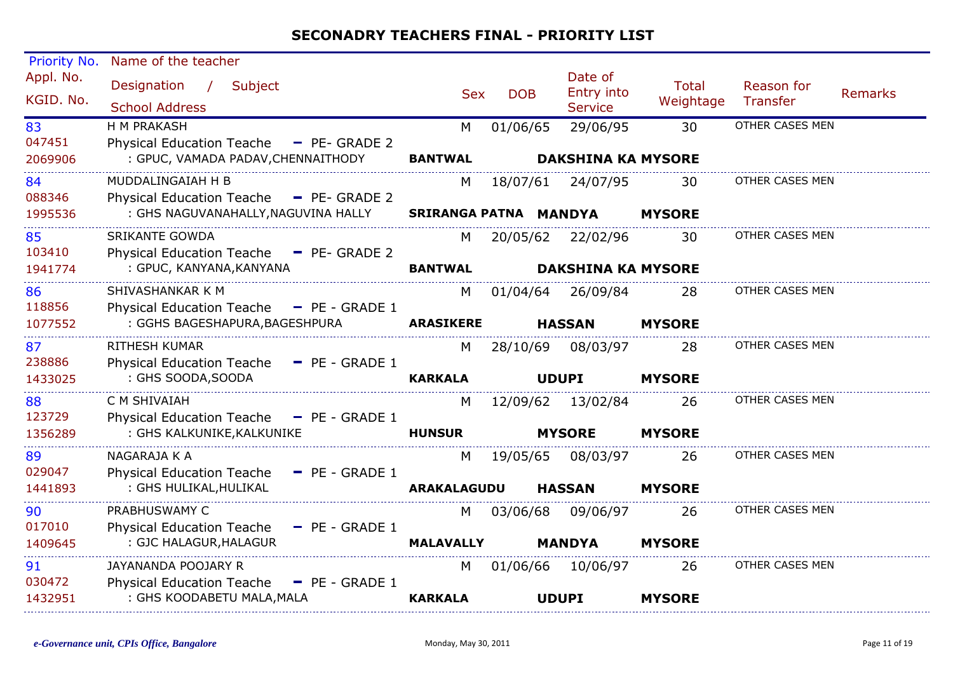| Priority No.            | Name of the teacher                                                                                           |                            |            |                                                |                           |                               |                |
|-------------------------|---------------------------------------------------------------------------------------------------------------|----------------------------|------------|------------------------------------------------|---------------------------|-------------------------------|----------------|
| Appl. No.<br>KGID. No.  | Designation<br>$\frac{1}{2}$<br>Subject<br><b>School Address</b>                                              | <b>Sex</b>                 | <b>DOB</b> | Date of<br>Entry into<br><b>Service</b>        | <b>Total</b><br>Weightage | Reason for<br><b>Transfer</b> | <b>Remarks</b> |
| 83<br>047451<br>2069906 | H M PRAKASH<br>Physical Education Teache - PE- GRADE 2<br>: GPUC, VAMADA PADAV, CHENNAITHODY                  | M<br><b>BANTWAL</b>        | 01/06/65   | 29/06/95<br><b>DAKSHINA KA MYSORE</b>          | 30                        | OTHER CASES MEN               |                |
| 84<br>088346<br>1995536 | MUDDALINGAIAH H B<br><b>Physical Education Teache</b><br>- PE- GRADE 2<br>: GHS NAGUVANAHALLY, NAGUVINA HALLY | M<br>SRIRANGA PATNA MANDYA | 18/07/61   | 24/07/95                                       | 30<br><b>MYSORE</b>       | OTHER CASES MEN               |                |
| 85<br>103410<br>1941774 | <b>SRIKANTE GOWDA</b><br>Physical Education Teache - PE- GRADE 2<br>: GPUC, KANYANA, KANYANA                  | M<br><b>BANTWAL</b>        |            | 20/05/62 22/02/96<br><b>DAKSHINA KA MYSORE</b> | 30                        | OTHER CASES MEN               |                |
| 86<br>118856<br>1077552 | SHIVASHANKAR K M<br>Physical Education Teache - PE - GRADE 1<br>: GGHS BAGESHAPURA, BAGESHPURA                | M<br><b>ARASIKERE</b>      | 01/04/64   | 26/09/84<br><b>HASSAN</b>                      | 28<br><b>MYSORE</b>       | OTHER CASES MEN               |                |
| 87<br>238886<br>1433025 | <b>RITHESH KUMAR</b><br><b>Physical Education Teache</b><br>$-$ PE - GRADE 1<br>: GHS SOODA, SOODA            | M<br><b>KARKALA</b>        | 28/10/69   | 08/03/97<br><b>UDUPI</b>                       | 28<br><b>MYSORE</b>       | OTHER CASES MEN               |                |
| 88<br>123729<br>1356289 | C M SHIVAIAH<br>Physical Education Teache - PE - GRADE 1<br>: GHS KALKUNIKE, KALKUNIKE                        | M<br><b>HUNSUR</b>         |            | 12/09/62 13/02/84<br><b>MYSORE</b>             | 26<br><b>MYSORE</b>       | OTHER CASES MEN               |                |
| 89<br>029047<br>1441893 | NAGARAJA K A<br><b>Physical Education Teache</b><br>$-$ PE - GRADE 1<br>: GHS HULIKAL, HULIKAL                | M<br><b>ARAKALAGUDU</b>    | 19/05/65   | 08/03/97<br><b>HASSAN</b>                      | 26<br><b>MYSORE</b>       | OTHER CASES MEN               |                |
| 90<br>017010<br>1409645 | PRABHUSWAMY C<br><b>Physical Education Teache</b><br>$-$ PE - GRADE 1<br>: GJC HALAGUR, HALAGUR               | M<br><b>MALAVALLY</b>      | 03/06/68   | 09/06/97<br><b>MANDYA</b>                      | 26<br><b>MYSORE</b>       | OTHER CASES MEN               |                |
| 91<br>030472<br>1432951 | JAYANANDA POOJARY R<br><b>Physical Education Teache</b><br>$-$ PE - GRADE 1<br>: GHS KOODABETU MALA, MALA     | M<br><b>KARKALA</b>        | 01/06/66   | 10/06/97<br><b>UDUPI</b>                       | 26<br><b>MYSORE</b>       | OTHER CASES MEN               |                |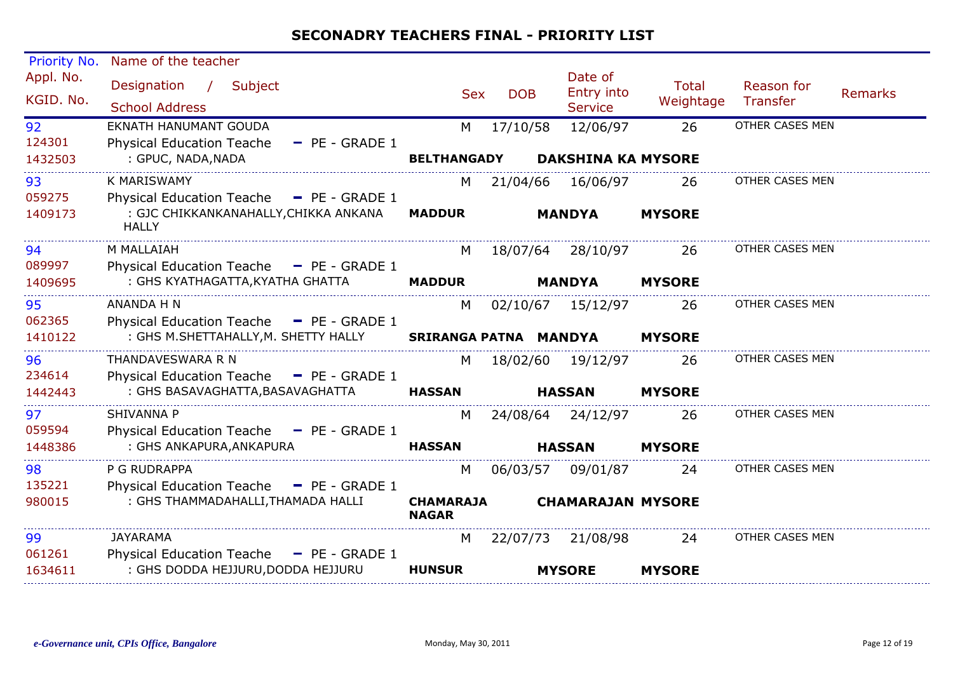| Priority No.            | Name of the teacher                                                                                 |                                  |            |                                         |                           |                        |                |
|-------------------------|-----------------------------------------------------------------------------------------------------|----------------------------------|------------|-----------------------------------------|---------------------------|------------------------|----------------|
| Appl. No.<br>KGID. No.  | Designation<br>$\frac{1}{2}$<br>Subject<br><b>School Address</b>                                    | <b>Sex</b>                       | <b>DOB</b> | Date of<br>Entry into<br><b>Service</b> | <b>Total</b><br>Weightage | Reason for<br>Transfer | <b>Remarks</b> |
| 92<br>124301<br>1432503 | EKNATH HANUMANT GOUDA<br><b>Physical Education Teache</b><br>$-$ PE - GRADE 1<br>: GPUC, NADA, NADA | M<br><b>BELTHANGADY</b>          | 17/10/58   | 12/06/97<br><b>DAKSHINA KA MYSORE</b>   | 26                        | OTHER CASES MEN        |                |
|                         |                                                                                                     |                                  |            |                                         |                           |                        |                |
| 93<br>059275            | K MARISWAMY<br>Physical Education Teache - PE - GRADE 1                                             | М                                | 21/04/66   | 16/06/97                                | 26                        | OTHER CASES MEN        |                |
| 1409173                 | : GJC CHIKKANKANAHALLY, CHIKKA ANKANA<br><b>HALLY</b>                                               | <b>MADDUR</b>                    |            | <b>MANDYA</b>                           | <b>MYSORE</b>             |                        |                |
| 94<br>089997            | M MALLAIAH<br>Physical Education Teache - PE - GRADE 1                                              | M                                |            | 18/07/64 28/10/97                       | 26                        | OTHER CASES MEN        |                |
| 1409695                 | : GHS KYATHAGATTA, KYATHA GHATTA                                                                    | <b>MADDUR</b>                    |            | <b>MANDYA</b>                           | <b>MYSORE</b>             |                        |                |
| 95<br>062365            | ANANDA H N<br>Physical Education Teache - PE - GRADE 1                                              | M                                |            | 02/10/67 15/12/97                       | 26                        | OTHER CASES MEN        |                |
| 1410122                 | : GHS M.SHETTAHALLY, M. SHETTY HALLY                                                                | SRIRANGA PATNA MANDYA            |            |                                         | <b>MYSORE</b>             |                        |                |
| 96<br>234614            | THANDAVESWARA R N<br>Physical Education Teache - PE - GRADE 1                                       | M                                | 18/02/60   | 19/12/97                                | 26                        | OTHER CASES MEN        |                |
| 1442443                 | : GHS BASAVAGHATTA, BASAVAGHATTA                                                                    | <b>HASSAN</b>                    |            | <b>HASSAN</b>                           | <b>MYSORE</b>             |                        |                |
| 97<br>059594            | <b>SHIVANNA P</b><br>Physical Education Teache - PE - GRADE 1                                       | M                                |            | 24/08/64 24/12/97                       | 26                        | OTHER CASES MEN        |                |
| 1448386                 | : GHS ANKAPURA, ANKAPURA                                                                            | <b>HASSAN</b>                    |            | <b>HASSAN</b>                           | <b>MYSORE</b>             |                        |                |
| 98<br>135221            | P G RUDRAPPA<br><b>Physical Education Teache</b><br>$-$ PE - GRADE 1                                | M                                |            | 06/03/57 09/01/87                       | 24                        | OTHER CASES MEN        |                |
| 980015                  | : GHS THAMMADAHALLI, THAMADA HALLI                                                                  | <b>CHAMARAJA</b><br><b>NAGAR</b> |            | <b>CHAMARAJAN MYSORE</b>                |                           |                        |                |
| 99                      | JAYARAMA                                                                                            | M                                | 22/07/73   | 21/08/98                                | 24                        | OTHER CASES MEN        |                |
| 061261<br>1634611       | Physical Education Teache $-$ PE - GRADE 1<br>: GHS DODDA HEJJURU, DODDA HEJJURU                    | <b>HUNSUR</b>                    |            | <b>MYSORE</b>                           | <b>MYSORE</b>             |                        |                |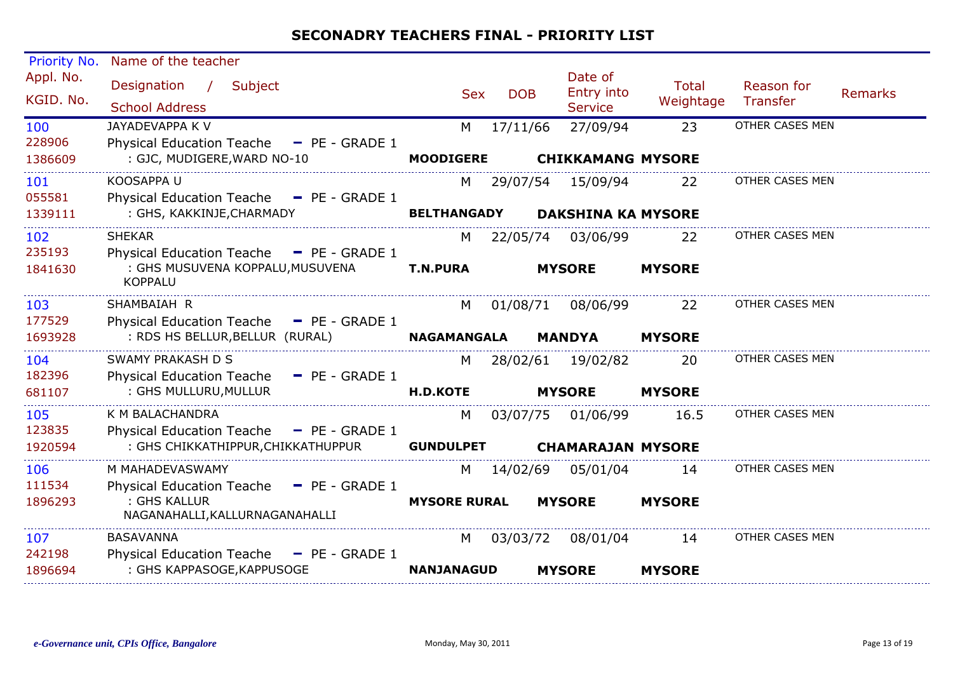| Priority No.             | Name of the teacher                                                                                    |                       |            |                                         |                           |                        |                |
|--------------------------|--------------------------------------------------------------------------------------------------------|-----------------------|------------|-----------------------------------------|---------------------------|------------------------|----------------|
| Appl. No.<br>KGID. No.   | Designation<br>$\overline{1}$<br>Subject<br><b>School Address</b>                                      | <b>Sex</b>            | <b>DOB</b> | Date of<br>Entry into<br><b>Service</b> | <b>Total</b><br>Weightage | Reason for<br>Transfer | <b>Remarks</b> |
| 100<br>228906<br>1386609 | JAYADEVAPPA K V<br><b>Physical Education Teache</b><br>$-$ PE - GRADE 1<br>: GJC, MUDIGERE, WARD NO-10 | M<br><b>MOODIGERE</b> | 17/11/66   | 27/09/94<br><b>CHIKKAMANG MYSORE</b>    | 23                        | OTHER CASES MEN        |                |
| 101<br>055581            | KOOSAPPA U<br>Physical Education Teache - PE - GRADE 1                                                 | M                     |            | 29/07/54 15/09/94                       | 22                        | OTHER CASES MEN        |                |
| 1339111                  | : GHS, KAKKINJE, CHARMADY                                                                              | <b>BELTHANGADY</b>    |            | <b>DAKSHINA KA MYSORE</b>               |                           |                        |                |
| 102<br>235193            | <b>SHEKAR</b><br>Physical Education Teache - PE - GRADE 1                                              | M                     |            | 22/05/74 03/06/99                       | 22                        | OTHER CASES MEN        |                |
| 1841630                  | : GHS MUSUVENA KOPPALU, MUSUVENA<br><b>KOPPALU</b>                                                     | <b>T.N.PURA</b>       |            | <b>MYSORE</b>                           | <b>MYSORE</b>             |                        |                |
| 103<br>177529            | SHAMBAIAH R<br>Physical Education Teache - PE - GRADE 1                                                | M                     | 01/08/71   | 08/06/99                                | 22                        | OTHER CASES MEN        |                |
| 1693928                  | : RDS HS BELLUR, BELLUR (RURAL)                                                                        | <b>NAGAMANGALA</b>    |            | <b>MANDYA</b>                           | <b>MYSORE</b>             |                        |                |
| 104<br>182396            | <b>SWAMY PRAKASH D S</b><br>Physical Education Teache - PE - GRADE 1                                   | M                     | 28/02/61   | 19/02/82                                | 20                        | OTHER CASES MEN        |                |
| 681107                   | : GHS MULLURU, MULLUR                                                                                  | <b>H.D.KOTE</b>       |            | <b>MYSORE</b>                           | <b>MYSORE</b>             |                        |                |
| 105<br>123835            | K M BALACHANDRA<br><b>Physical Education Teache</b><br>$P = PE - GRADE 1$                              | М                     | 03/07/75   | 01/06/99                                | 16.5                      | OTHER CASES MEN        |                |
| 1920594                  | : GHS CHIKKATHIPPUR, CHIKKATHUPPUR                                                                     | <b>GUNDULPET</b>      |            | <b>CHAMARAJAN MYSORE</b>                |                           |                        |                |
| 106<br>111534            | M MAHADEVASWAMY<br><b>Physical Education Teache</b><br>$-$ PE - GRADE 1                                | М                     | 14/02/69   | 05/01/04                                | 14                        | OTHER CASES MEN        |                |
| 1896293                  | : GHS KALLUR<br>NAGANAHALLI, KALLURNAGANAHALLI                                                         | <b>MYSORE RURAL</b>   |            | <b>MYSORE</b>                           | <b>MYSORE</b>             |                        |                |
| 107                      | <b>BASAVANNA</b>                                                                                       | M                     | 03/03/72   | 08/01/04                                | 14                        | OTHER CASES MEN        |                |
| 242198<br>1896694        | Physical Education Teache - PE - GRADE 1<br>: GHS KAPPASOGE, KAPPUSOGE                                 | <b>NANJANAGUD</b>     |            | <b>MYSORE</b>                           | <b>MYSORE</b>             |                        |                |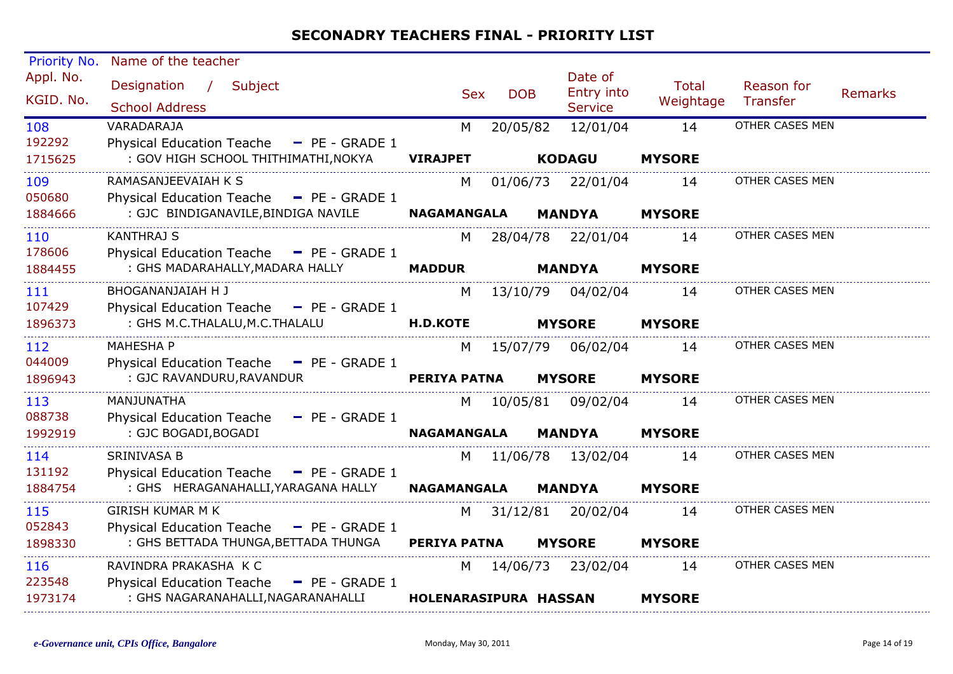| Priority No.           | Name of the teacher                                                              |                       |            |                                         |                           |                        |                |
|------------------------|----------------------------------------------------------------------------------|-----------------------|------------|-----------------------------------------|---------------------------|------------------------|----------------|
| Appl. No.<br>KGID. No. | Designation /<br>Subject<br><b>School Address</b>                                | <b>Sex</b>            | <b>DOB</b> | Date of<br>Entry into<br><b>Service</b> | <b>Total</b><br>Weightage | Reason for<br>Transfer | <b>Remarks</b> |
| 108<br>192292          | VARADARAJA<br>Physical Education Teache - PE - GRADE 1                           | M                     | 20/05/82   | 12/01/04                                | 14                        | OTHER CASES MEN        |                |
| 1715625                | : GOV HIGH SCHOOL THITHIMATHI, NOKYA                                             | <b>VIRAJPET</b>       |            | <b>KODAGU</b>                           | <b>MYSORE</b>             |                        |                |
| 109<br>050680          | RAMASANJEEVAIAH K S<br>Physical Education Teache - PE - GRADE 1                  | M                     | 01/06/73   | 22/01/04                                | 14                        | OTHER CASES MEN        |                |
| 1884666                | : GJC BINDIGANAVILE, BINDIGA NAVILE                                              | <b>NAGAMANGALA</b>    |            | <b>MANDYA</b>                           | <b>MYSORE</b>             |                        |                |
| 110<br>178606          | <b>KANTHRAJ S</b><br>Physical Education Teache - PE - GRADE 1                    | M                     |            | 28/04/78 22/01/04                       | 14                        | OTHER CASES MEN        |                |
| 1884455                | : GHS MADARAHALLY, MADARA HALLY                                                  | <b>MADDUR</b>         |            | <b>MANDYA</b>                           | <b>MYSORE</b>             |                        |                |
| 111<br>107429          | BHOGANANJAIAH H J<br>Physical Education Teache - PE - GRADE 1                    | M                     |            | 13/10/79 04/02/04                       | 14                        | OTHER CASES MEN        |                |
| 1896373                | : GHS M.C.THALALU, M.C.THALALU                                                   | <b>H.D.KOTE</b>       |            | <b>MYSORE</b>                           | <b>MYSORE</b>             |                        |                |
| 112<br>044009          | <b>MAHESHA P</b><br>Physical Education Teache - PE - GRADE 1                     | M                     |            | 15/07/79 06/02/04                       | 14                        | OTHER CASES MEN        |                |
| 1896943                | : GJC RAVANDURU, RAVANDUR                                                        | <b>PERIYA PATNA</b>   |            | <b>MYSORE</b>                           | <b>MYSORE</b>             |                        |                |
| 113<br>088738          | MANJUNATHA<br>Physical Education Teache - PE - GRADE 1                           | M <sub>N</sub>        |            | 10/05/81 09/02/04                       | 14                        | OTHER CASES MEN        |                |
| 1992919                | : GJC BOGADI, BOGADI                                                             | <b>NAGAMANGALA</b>    |            | <b>MANDYA</b>                           | <b>MYSORE</b>             |                        |                |
| 114<br>131192          | <b>SRINIVASA B</b><br>Physical Education Teache - PE - GRADE 1                   | M                     |            | 11/06/78 13/02/04                       | 14                        | OTHER CASES MEN        |                |
| 1884754                | : GHS HERAGANAHALLI, YARAGANA HALLY                                              | <b>NAGAMANGALA</b>    |            | <b>MANDYA</b>                           | <b>MYSORE</b>             |                        |                |
| 115<br>052843          | <b>GIRISH KUMAR M K</b>                                                          | M                     |            | 31/12/81 20/02/04                       | 14                        | OTHER CASES MEN        |                |
| 1898330                | Physical Education Teache - PE - GRADE 1<br>: GHS BETTADA THUNGA, BETTADA THUNGA | <b>PERIYA PATNA</b>   |            | <b>MYSORE</b>                           | <b>MYSORE</b>             |                        |                |
| 116<br>223548          | RAVINDRA PRAKASHA K C<br>Physical Education Teache - PE - GRADE 1                |                       |            | M 14/06/73 23/02/04                     | 14                        | OTHER CASES MEN        |                |
| 1973174                | : GHS NAGARANAHALLI, NAGARANAHALLI                                               | HOLENARASIPURA HASSAN |            |                                         | <b>MYSORE</b>             |                        |                |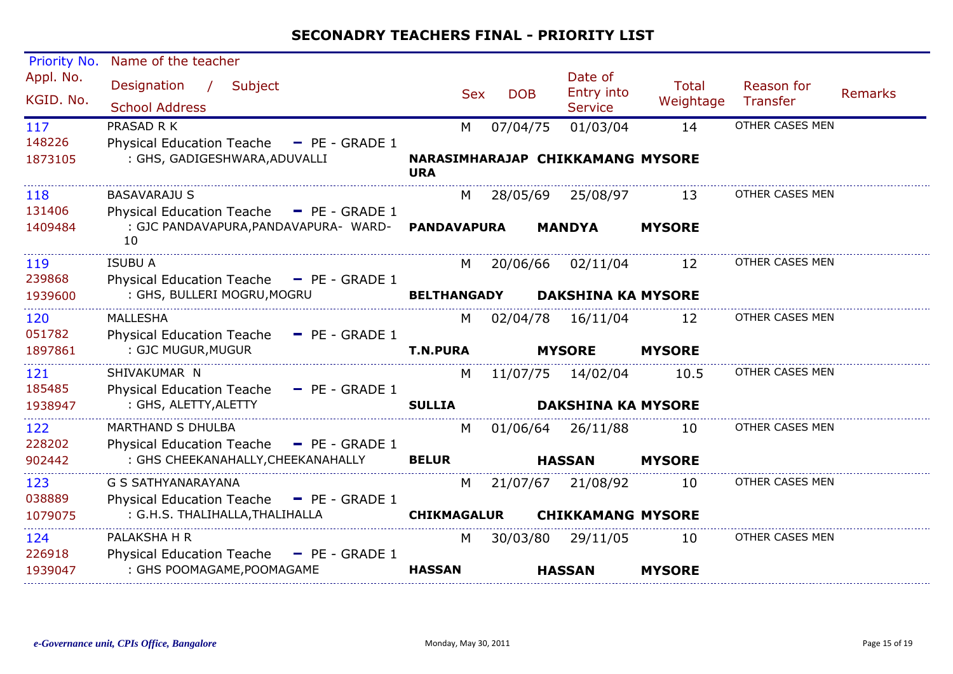| Priority No.           | Name of the teacher                                                                   |                    |            |  |                                         |                           |                        |                |
|------------------------|---------------------------------------------------------------------------------------|--------------------|------------|--|-----------------------------------------|---------------------------|------------------------|----------------|
| Appl. No.<br>KGID. No. | Designation<br>$\frac{1}{2}$<br>Subject<br><b>School Address</b>                      | <b>Sex</b>         | <b>DOB</b> |  | Date of<br>Entry into<br><b>Service</b> | <b>Total</b><br>Weightage | Reason for<br>Transfer | <b>Remarks</b> |
| 117                    | PRASAD R K                                                                            | M                  | 07/04/75   |  | 01/03/04                                | 14                        | OTHER CASES MEN        |                |
| 148226<br>1873105      | <b>Physical Education Teache</b><br>$-$ PE - GRADE 1<br>: GHS, GADIGESHWARA, ADUVALLI | <b>URA</b>         |            |  | NARASIMHARAJAP CHIKKAMANG MYSORE        |                           |                        |                |
| 118                    | <b>BASAVARAJU S</b>                                                                   | M                  |            |  | 28/05/69  25/08/97                      | 13                        | OTHER CASES MEN        |                |
| 131406                 | Physical Education Teache - PE - GRADE 1                                              |                    |            |  |                                         |                           |                        |                |
| 1409484                | : GJC PANDAVAPURA, PANDAVAPURA- WARD-<br>10                                           | <b>PANDAVAPURA</b> |            |  | <b>MANDYA</b>                           | <b>MYSORE</b>             |                        |                |
| 119                    | <b>ISUBU A</b>                                                                        | M                  |            |  | 20/06/66 02/11/04                       | 12                        | OTHER CASES MEN        |                |
| 239868                 | Physical Education Teache - PE - GRADE 1                                              |                    |            |  |                                         |                           |                        |                |
| 1939600                | : GHS, BULLERI MOGRU, MOGRU                                                           | <b>BELTHANGADY</b> |            |  | <b>DAKSHINA KA MYSORE</b>               |                           |                        |                |
| 120                    | <b>MALLESHA</b>                                                                       | M                  | 02/04/78   |  | 16/11/04                                | 12                        | OTHER CASES MEN        |                |
| 051782                 | <b>Physical Education Teache</b><br>$-$ PE - GRADE 1                                  |                    |            |  |                                         |                           |                        |                |
| 1897861                | : GJC MUGUR, MUGUR                                                                    | <b>T.N.PURA</b>    |            |  | <b>MYSORE</b>                           | <b>MYSORE</b>             |                        |                |
| 121                    | SHIVAKUMAR N                                                                          | M                  |            |  | 11/07/75 14/02/04                       | 10.5                      | OTHER CASES MEN        |                |
| 185485                 | Physical Education Teache - PE - GRADE 1                                              |                    |            |  |                                         |                           |                        |                |
| 1938947                | : GHS, ALETTY, ALETTY                                                                 | <b>SULLIA</b>      |            |  | <b>DAKSHINA KA MYSORE</b>               |                           |                        |                |
| 122                    | <b>MARTHAND S DHULBA</b>                                                              | M                  | 01/06/64   |  | 26/11/88                                | 10                        | OTHER CASES MEN        |                |
| 228202                 | Physical Education Teache - PE - GRADE 1                                              |                    |            |  |                                         |                           |                        |                |
| 902442                 | : GHS CHEEKANAHALLY, CHEEKANAHALLY                                                    | <b>BELUR</b>       |            |  | <b>HASSAN</b>                           | <b>MYSORE</b>             |                        |                |
| 123                    | G S SATHYANARAYANA                                                                    | M                  |            |  | 21/07/67 21/08/92                       | 10                        | OTHER CASES MEN        |                |
| 038889                 | Physical Education Teache - PE - GRADE 1                                              |                    |            |  |                                         |                           |                        |                |
| 1079075                | : G.H.S. THALIHALLA, THALIHALLA                                                       | <b>CHIKMAGALUR</b> |            |  | <b>CHIKKAMANG MYSORE</b>                |                           |                        |                |
| 124                    | PALAKSHA H R                                                                          | M                  | 30/03/80   |  | 29/11/05                                | 10                        | OTHER CASES MEN        |                |
| 226918                 | Physical Education Teache - PE - GRADE 1                                              |                    |            |  |                                         |                           |                        |                |
| 1939047                | : GHS POOMAGAME, POOMAGAME                                                            | <b>HASSAN</b>      |            |  | <b>HASSAN</b>                           | <b>MYSORE</b>             |                        |                |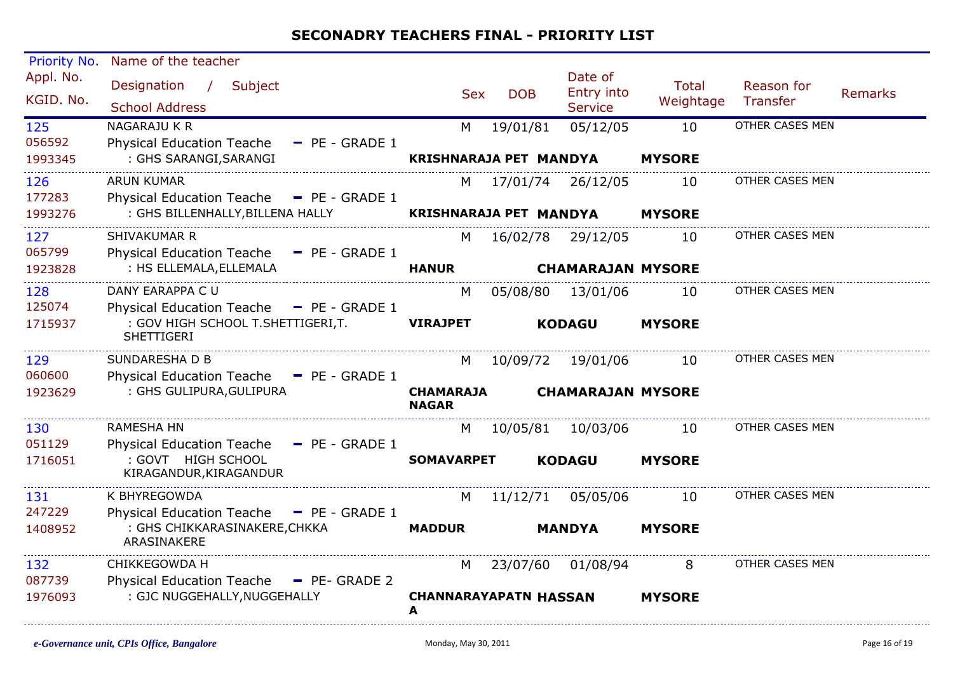| Priority No.           | Name of the teacher                                    |                                  |            |                               |                                         |                           |                        |                |
|------------------------|--------------------------------------------------------|----------------------------------|------------|-------------------------------|-----------------------------------------|---------------------------|------------------------|----------------|
| Appl. No.<br>KGID. No. | Designation /<br>Subject<br><b>School Address</b>      |                                  | <b>Sex</b> | <b>DOB</b>                    | Date of<br>Entry into<br><b>Service</b> | <b>Total</b><br>Weightage | Reason for<br>Transfer | <b>Remarks</b> |
| 125                    | NAGARAJU K R                                           |                                  | M          | 19/01/81                      | 05/12/05                                | 10                        | OTHER CASES MEN        |                |
| 056592                 | <b>Physical Education Teache</b><br>$-$ PE - GRADE 1   |                                  |            |                               |                                         |                           |                        |                |
| 1993345                | : GHS SARANGI, SARANGI                                 |                                  |            | <b>KRISHNARAJA PET MANDYA</b> |                                         | <b>MYSORE</b>             |                        |                |
| 126                    | <b>ARUN KUMAR</b>                                      |                                  | M          | 17/01/74 26/12/05             |                                         | 10                        | OTHER CASES MEN        |                |
| 177283                 | Physical Education Teache - PE - GRADE 1               |                                  |            |                               |                                         |                           |                        |                |
| 1993276                | : GHS BILLENHALLY, BILLENA HALLY                       |                                  |            | <b>KRISHNARAJA PET MANDYA</b> |                                         | <b>MYSORE</b>             |                        |                |
| 127                    | SHIVAKUMAR R                                           |                                  | M          | 16/02/78 29/12/05             |                                         | 10                        | OTHER CASES MEN        |                |
| 065799                 | <b>Physical Education Teache</b><br>$-$ PE - GRADE 1   |                                  |            |                               |                                         |                           |                        |                |
| 1923828                | : HS ELLEMALA, ELLEMALA                                | <b>HANUR</b>                     |            |                               | <b>CHAMARAJAN MYSORE</b>                |                           |                        |                |
| 128                    | DANY EARAPPA C U                                       |                                  | M          | 05/08/80                      | 13/01/06                                | 10                        | OTHER CASES MEN        |                |
| 125074                 | Physical Education Teache - PE - GRADE 1               |                                  |            |                               |                                         |                           |                        |                |
| 1715937                | : GOV HIGH SCHOOL T.SHETTIGERI,T.<br><b>SHETTIGERI</b> | <b>VIRAJPET</b>                  |            |                               | <b>KODAGU</b>                           | <b>MYSORE</b>             |                        |                |
| 129                    | SUNDARESHA D B                                         |                                  | M          | 10/09/72                      | 19/01/06                                | 10                        | OTHER CASES MEN        |                |
| 060600                 | Physical Education Teache - PE - GRADE 1               |                                  |            |                               |                                         |                           |                        |                |
| 1923629                | : GHS GULIPURA, GULIPURA                               | <b>CHAMARAJA</b><br><b>NAGAR</b> |            |                               | <b>CHAMARAJAN MYSORE</b>                |                           |                        |                |
| 130                    | <b>RAMESHA HN</b>                                      |                                  | M          | 10/05/81                      | 10/03/06                                | 10                        | OTHER CASES MEN        |                |
| 051129                 | <b>Physical Education Teache</b><br>$-$ PE - GRADE 1   |                                  |            |                               |                                         |                           |                        |                |
| 1716051                | : GOVT HIGH SCHOOL<br>KIRAGANDUR, KIRAGANDUR           | <b>SOMAVARPET</b>                |            |                               | <b>KODAGU</b>                           | <b>MYSORE</b>             |                        |                |
| 131                    | K BHYREGOWDA                                           |                                  | M          | 11/12/71                      | 05/05/06                                | 10                        | OTHER CASES MEN        |                |
| 247229                 | <b>Physical Education Teache</b><br>$-$ PE - GRADE 1   |                                  |            |                               |                                         |                           |                        |                |
| 1408952                | : GHS CHIKKARASINAKERE, CHKKA<br>ARASINAKERE           | <b>MADDUR</b>                    |            |                               | <b>MANDYA</b>                           | <b>MYSORE</b>             |                        |                |
| 132                    | CHIKKEGOWDA H                                          |                                  | M          | 23/07/60 01/08/94             |                                         | 8                         | OTHER CASES MEN        |                |
| 087739                 | Physical Education Teache - PE- GRADE 2                |                                  |            |                               |                                         |                           |                        |                |
| 1976093                | : GJC NUGGEHALLY, NUGGEHALLY                           | A                                |            | <b>CHANNARAYAPATN HASSAN</b>  |                                         | <b>MYSORE</b>             |                        |                |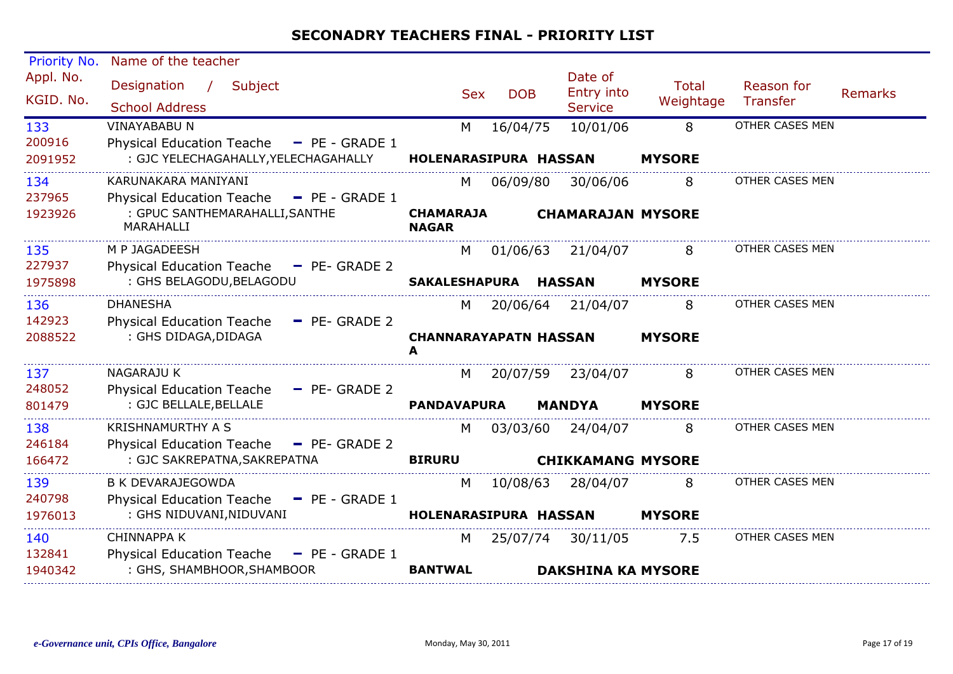| Priority No.             | Name of the teacher                                                                                                 |                                        |            |                                                |                           |                               |         |
|--------------------------|---------------------------------------------------------------------------------------------------------------------|----------------------------------------|------------|------------------------------------------------|---------------------------|-------------------------------|---------|
| Appl. No.<br>KGID. No.   | Designation<br>Subject<br>$\sqrt{2}$<br><b>School Address</b>                                                       | <b>Sex</b>                             | <b>DOB</b> | Date of<br><b>Entry into</b><br><b>Service</b> | <b>Total</b><br>Weightage | Reason for<br><b>Transfer</b> | Remarks |
| 133<br>200916<br>2091952 | <b>VINAYABABU N</b><br><b>Physical Education Teache</b><br>$-$ PE - GRADE 1<br>: GJC YELECHAGAHALLY, YELECHAGAHALLY | M<br>HOLENARASIPURA HASSAN             | 16/04/75   | 10/01/06                                       | 8<br><b>MYSORE</b>        | OTHER CASES MEN               |         |
| 134<br>237965<br>1923926 | KARUNAKARA MANIYANI<br>Physical Education Teache - PE - GRADE 1<br>: GPUC SANTHEMARAHALLI, SANTHE<br>MARAHALLI      | M<br><b>CHAMARAJA</b><br><b>NAGAR</b>  | 06/09/80   | 30/06/06<br><b>CHAMARAJAN MYSORE</b>           | 8                         | OTHER CASES MEN               |         |
| 135<br>227937<br>1975898 | M P JAGADEESH<br>Physical Education Teache - PE- GRADE 2<br>: GHS BELAGODU, BELAGODU                                | M<br><b>SAKALESHAPURA</b>              | 01/06/63   | 21/04/07<br><b>HASSAN</b>                      | 8<br><b>MYSORE</b>        | OTHER CASES MEN               |         |
| 136<br>142923<br>2088522 | <b>DHANESHA</b><br><b>Physical Education Teache</b><br>$-$ PE- GRADE 2<br>: GHS DIDAGA, DIDAGA                      | M<br><b>CHANNARAYAPATN HASSAN</b><br>A | 20/06/64   | 21/04/07                                       | 8<br><b>MYSORE</b>        | OTHER CASES MEN               |         |
| 137<br>248052<br>801479  | <b>NAGARAJU K</b><br><b>Physical Education Teache</b><br>$-$ PE- GRADE 2<br>: GJC BELLALE, BELLALE                  | M<br><b>PANDAVAPURA</b>                | 20/07/59   | 23/04/07<br><b>MANDYA</b>                      | 8<br><b>MYSORE</b>        | OTHER CASES MEN               |         |
| 138<br>246184<br>166472  | <b>KRISHNAMURTHY A S</b><br><b>Physical Education Teache</b><br>$-$ PE- GRADE 2<br>: GJC SAKREPATNA, SAKREPATNA     | M<br><b>BIRURU</b>                     | 03/03/60   | 24/04/07<br><b>CHIKKAMANG MYSORE</b>           | 8                         | OTHER CASES MEN               |         |
| 139<br>240798<br>1976013 | <b>B K DEVARAJEGOWDA</b><br><b>Physical Education Teache</b><br>$=$ PE - GRADE 1<br>: GHS NIDUVANI, NIDUVANI        | M<br>HOLENARASIPURA HASSAN             | 10/08/63   | 28/04/07                                       | 8<br><b>MYSORE</b>        | OTHER CASES MEN               |         |
| 140<br>132841<br>1940342 | <b>CHINNAPPA K</b><br>Physical Education Teache - PE - GRADE 1<br>: GHS, SHAMBHOOR, SHAMBOOR                        | M<br><b>BANTWAL</b>                    |            | 25/07/74 30/11/05<br><b>DAKSHINA KA MYSORE</b> | 7.5                       | OTHER CASES MEN               |         |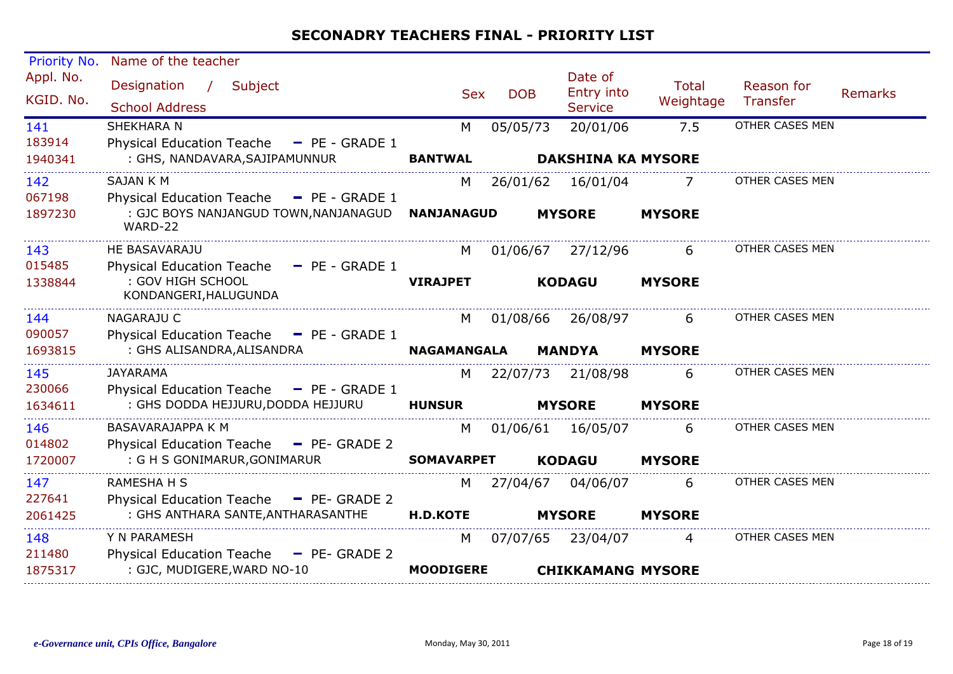| Priority No.             | Name of the teacher                                                                      |                       |            |                                         |                           |                               |                |
|--------------------------|------------------------------------------------------------------------------------------|-----------------------|------------|-----------------------------------------|---------------------------|-------------------------------|----------------|
| Appl. No.<br>KGID. No.   | Designation<br>Subject<br>$\sqrt{2}$<br><b>School Address</b>                            | <b>Sex</b>            | <b>DOB</b> | Date of<br>Entry into<br><b>Service</b> | <b>Total</b><br>Weightage | Reason for<br><b>Transfer</b> | <b>Remarks</b> |
| 141<br>183914<br>1940341 | SHEKHARA N<br>Physical Education Teache - PE - GRADE 1<br>: GHS, NANDAVARA, SAJIPAMUNNUR | M<br><b>BANTWAL</b>   | 05/05/73   | 20/01/06<br><b>DAKSHINA KA MYSORE</b>   | 7.5                       | OTHER CASES MEN               |                |
| 142<br>067198            | <b>SAJAN K M</b><br>Physical Education Teache - PE - GRADE 1                             | M                     | 26/01/62   | 16/01/04                                | 7                         | <b>OTHER CASES MEN</b>        |                |
| 1897230                  | : GJC BOYS NANJANGUD TOWN, NANJANAGUD<br>WARD-22                                         | <b>NANJANAGUD</b>     |            | <b>MYSORE</b>                           | <b>MYSORE</b>             |                               |                |
| 143<br>015485            | HE BASAVARAJU<br>Physical Education Teache - PE - GRADE 1<br>: GOV HIGH SCHOOL           | M<br><b>VIRAJPET</b>  |            | 01/06/67 27/12/96<br><b>KODAGU</b>      | 6<br><b>MYSORE</b>        | OTHER CASES MEN               |                |
| 1338844                  | KONDANGERI, HALUGUNDA                                                                    |                       |            |                                         |                           |                               |                |
| 144<br>090057            | <b>NAGARAJU C</b><br>Physical Education Teache - PE - GRADE 1                            | M                     | 01/08/66   | 26/08/97                                | 6                         | OTHER CASES MEN               |                |
| 1693815                  | : GHS ALISANDRA, ALISANDRA                                                               | <b>NAGAMANGALA</b>    |            | <b>MANDYA</b>                           | <b>MYSORE</b>             |                               |                |
| 145<br>230066            | <b>JAYARAMA</b><br>Physical Education Teache - PE - GRADE 1                              | M                     | 22/07/73   | 21/08/98                                | 6                         | OTHER CASES MEN               |                |
| 1634611                  | : GHS DODDA HEJJURU, DODDA HEJJURU                                                       | <b>HUNSUR</b>         |            | <b>MYSORE</b>                           | <b>MYSORE</b>             |                               |                |
| 146<br>014802            | BASAVARAJAPPA K M<br>Physical Education Teache - PE- GRADE 2                             | M                     | 01/06/61   | 16/05/07                                | 6                         | OTHER CASES MEN               |                |
| 1720007                  | : G H S GONIMARUR, GONIMARUR                                                             | <b>SOMAVARPET</b>     |            | <b>KODAGU</b>                           | <b>MYSORE</b>             |                               |                |
| 147<br>227641            | <b>RAMESHA H S</b><br>Physical Education Teache - PE- GRADE 2                            | M                     | 27/04/67   | 04/06/07                                | 6                         | OTHER CASES MEN               |                |
| 2061425                  | : GHS ANTHARA SANTE, ANTHARASANTHE                                                       | <b>H.D.KOTE</b>       |            | <b>MYSORE</b>                           | <b>MYSORE</b>             |                               |                |
| 148<br>211480<br>1875317 | Y N PARAMESH<br>Physical Education Teache - PE- GRADE 2<br>: GJC, MUDIGERE, WARD NO-10   | M<br><b>MOODIGERE</b> | 07/07/65   | 23/04/07<br><b>CHIKKAMANG MYSORE</b>    | 4                         | OTHER CASES MEN               |                |